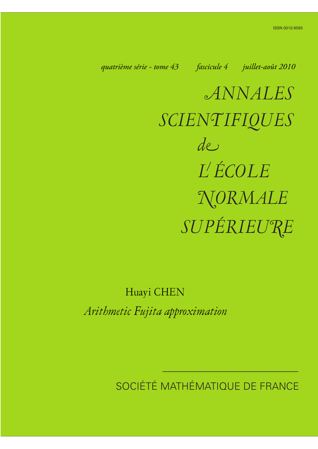*quatrième série - tome 43 fascicule 4 juillet-août 2010*

*ANNALES SCIENTIFIQUES SUPÉRIEURE de L ÉCOLE NORMALE*

Huayi CHEN

*Arithmetic Fujita approximation*

SOCIÉTÉ MATHÉMATIQUE DE FRANCE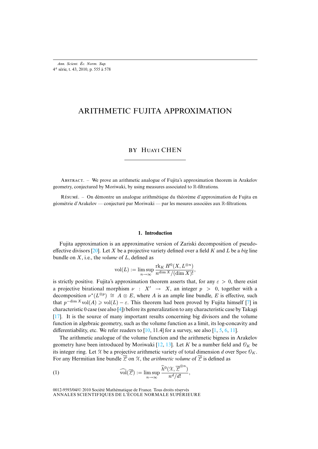*Ann. Scient. Éc. Norm. Sup.* 4 e série, t. 43, 2010, p. 555 à 578

# ARITHMETIC FUJITA APPROXIMATION

# BY HUAYI CHEN

ABSTRACT. – We prove an arithmetic analogue of Fujita's approximation theorem in Arakelov geometry, conjectured by Moriwaki, by using measures associated to R-filtrations.

R. – On démontre un analogue arithmétique du théorème d'approximation de Fujita en géométrie d'Arakelov — conjecturé par Moriwaki — par les mesures associées aux R-filtrations.

### **1. Introduction**

Fujita approximation is an approximative version of Zariski decomposition of pseudoeffective divisors [20]. Let X be a projective variety defined over a field K and L be a *big* line bundle on X, i.e., the *volume* of L, defined as

$$
\mathrm{vol}(L):=\limsup_{n\to\infty}\frac{\mathrm{rk}_K\,H^0(X,L^{\otimes n})}{n^{\dim X}/(\dim X)!},
$$

is strictly positive. Fujita's approximation theorem asserts that, for any  $\varepsilon > 0$ , there [ex](#page-23-0)ist a projective birational morp[hi](#page-23-1)sm  $\nu : X' \rightarrow X$ , an integer  $p > 0$ , together with a [dec](#page-23-2)omposition  $\nu^*(L^{\otimes p}) \cong A \otimes E$ , where A is an ample line bundle, E is effective, such that  $p^{-\dim X} \text{vol}(A) \geq \text{vol}(L) - \varepsilon$ . This theorem had been proved by Fujita himself [7] in characteristic 0 case (see also [4]) before it[s ge](#page-23-3)neralization to any charact[eri](#page-23-4)[stic](#page-23-5) [c](#page-23-6)[ase b](#page-23-7)y Takagi [17]. It is the source of many important results concerning big divisors and the volume function in algebraic geometry, such as the vol[um](#page-23-8)[e fu](#page-23-9)nction as a limit, its log-concavity and differentiability, etc. We refer readers to  $[10, 11.4]$  for a survey, see also  $[1, 5, 6, 11]$ .

<span id="page-1-0"></span>The arithmetic analogue of the volume function and the arithmetic bigness in Arakelov geometry have been introduced by Moriwaki [12, 13]. Let K be a number field and  $\mathcal{O}_K$  be its integer ring. Let X be a projective arithmetic variety of total dimension d over Spec  $\mathcal{O}_K$ . For any Hermitian line bundle  $\overline{Z}$  on  $\chi$ , the *arithmetic volume* of  $\overline{Z}$  is defined as

(1) 
$$
\widehat{\mathrm{vol}}(\overline{\mathcal{L}}) := \limsup_{n \to \infty} \frac{\widehat{h}^0(\mathcal{X}, \overline{\mathcal{L}}^{\otimes n})}{n^d/d!},
$$

ANNALES SCIENTIFIQUES DE L'ÉCOLE NORMALE SUPÉRIEURE 0012-9593/04/© 2010 Société Mathématique de France. Tous droits réservés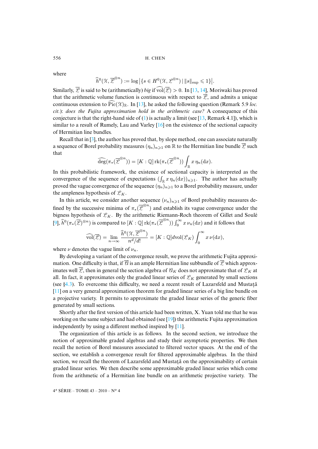where

$$
\widehat{h}^0(\mathcal{X}, \overline{\mathcal{L}}^{\otimes n}) := \log | \{ s \in H^0(\mathcal{X}, \mathcal{L}^{\otimes n}) | ||s||_{\rm sup} \leq 1 \} |.
$$

Similarly,  $\overline{Z}$  is said to be (arithmetically) *big* if  $\widehat{vol}(\overline{Z}) > 0$ . In [13, 14], Moriwaki has proved that the arithmetic volume function is [con](#page-1-0)tinu[o](#page-23-9)us with respect to  $\overline{Z}$ , and admits a unique continuous extension to  $\widehat{\text{Pic}}(\mathcal{X})_{\mathbb{R}}$ . In [13], he [aske](#page-23-10)d the following question (Remark 5.9 *loc. cit.*): *does the Fujita approximation hold in the arithmetic case?* A consequence of this conjecture is tha[t th](#page-23-11)e right-hand side of  $(1)$  is actually a limit (see [13, Remark 4.1]), which is similar to a result of Rumely, Lau and Varley  $[16]$  on the existence of the sectional capacity of Hermitian line bundles.

Recall that in [3], the author has proved that, by slope method, one can associate naturally a sequence of Borel probability measures  $(\eta_n)_{n\geq 1}$  on R to the Hermitian line bundle  $\overline{\mathcal{L}}$  such that

$$
\widehat{\deg}(\pi_*(\overline{\mathcal{L}}^{\otimes n})) = [K:\mathbb{Q}] \operatorname{rk}(\pi_*(\overline{\mathcal{L}}^{\otimes n})) \int_{\mathbb{R}} x \eta_n(\mathrm{d} x).
$$

In this probabilistic framework, the existence of sectional capacity is interpreted as the convergence of the sequence of expectations  $(\int_{\mathbb{R}} x \eta_n(dx))_{n \geq 1}$ . The author has actually proved the vague convergence of the sequence  $(\eta_n)_{n\geq 1}$  to a Borel probability measure, under the ampleness hypothesis of  $\mathcal{L}_K$ .

In this article, we consider another sequence  $(\nu_n)_{n\geq 1}$  of Borel probability measures defined by the successive minima of  $\pi_*(\overline{Z}^{\otimes n})$  and establish its vague convergence under the bigness hypothesis of  $\mathcal{L}_K$ . By the arithmetic Riemann-Roch theorem of Gillet and Soulé [9],  $\widehat{h}^0(\pi_*(\overline{\mathcal{L}})^{\otimes n})$  is compared to  $[K:\mathbb{Q}]$  rk $(\pi_*(\overline{\mathcal{L}}^{\otimes n})) \int_0^\infty x \nu_n(\text{d}x)$  and it follows that

$$
\widehat{\mathrm{vol}}(\overline{\mathcal{L}})=\lim_{n\to\infty}\frac{\widehat{h}^0(\mathcal{X},\overline{\mathcal{L}}^{\otimes n})}{n^d/d!}=[K:\mathbb{Q}]d\mathrm{vol}(\mathcal{L}_K)\int_0^\infty x\,\nu(\mathrm{d} x),
$$

where  $\nu$  denotes the vague limit of  $\nu_n$ .

By developing a variant of the convergence result, we prove the arithmetic Fujita approximati[on. O](#page-20-0)ne difficulty is that, if  $\overline{\mathcal{C}}$  is an ample Hermitian line subbundle of  $\overline{\mathcal{L}}$  which approx[ima](#page-23-7)tes well  $\overline{Z}$ , then in general the section algebra of  $\mathcal{U}_K$  does not approximate that of  $\mathcal{L}_K$  at all. In fact, it approximates only the graded linear series of  $\mathcal{L}_K$  generated by small sections (see  $\S 4.3$ ). To overcome this difficulty, we need a recent result of Lazarsfeld and Mustata [11] on a very general approximation theorem for graded linear series of a big line bundle on a projective variety. It permits to approximate th[e gra](#page-23-12)ded linear series of the generic fiber generated by small sections.

Shortly after the first version of this article had been written, X. Yuan told me that he was working on the same subject and had obtained (see [19]) the arithmetic Fujita approximation independently by using a different method inspired by [11].

The organization of this article is as follows. In the second section, we introduce the notion of approximable graded algebras and study their asymptotic properties. We then recall the notion of Borel measures associated to filtered vector spaces. At the end of the section, we establish a convergence result for filtered approximable algebras. In the third section, we recall the theorem of Lazarsfeld and Mustata on the approximability of certain graded linear series. We then describe some approximable graded linear series which come from the arithmetic of a Hermitian line bundle on an arithmetic projective variety. The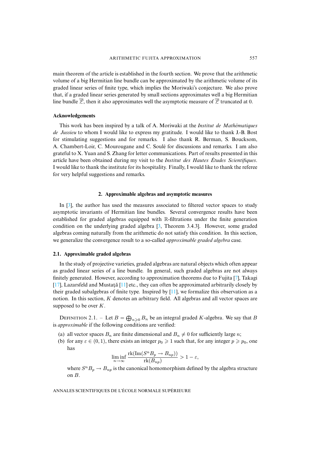main theorem of the article is established in the fourth section. We prove that the arithmetic volume of a big Hermitian line bundle can be approximated by the arithmetic volume of its graded linear series of finite type, which implies the Moriwaki's conjecture. We also prove that, if a graded linear series generated by small sections approximates well a big Hermitian line bundle  $\overline{Z}$ , then it also approximates well the asymptotic measure of  $\overline{Z}$  truncated at 0.

### **Acknowledgements**

This work has been inspired by a talk of A. Moriwaki at the *Institut de Mathématiques de Jussieu* to whom I would like to express my gratitude. I would like to thank J.-B. Bost for stimulating suggestions and for remarks. I also thank R. Berman, S. Boucksom, A. Chambert-Loir, C. Mourougane and C. Soulé for discussions and remarks. I am also grateful to X. Yuan and S. Zhang for letter communications. Part of results presented in this article have been obtained during my visit to the *Institut des Hautes Études Scientifiques*. I would like to thank the institute for its hospitality. Finally, I would like to thank the referee for very helpful suggestions and remarks.

#### **2. Approximable algebras and asymptotic measures**

In [3], the author has used the measures [ass](#page-23-11)ociated to filtered vector spaces to study asymptotic invariants of Hermitian line bundles. Several convergence results have been established for graded algebras equipped with R-filtrations under the finite generation condition on the underlying graded algebra [3, Theorem 3.4.3]. However, some graded algebras coming naturally from the arithmetic do not satisfy this condition. In this section, we generalize the convergence result to a so-called *approximable graded algebra* case.

### **2.1. Approximable graded algebras**

[I](#page-23-2)n the study of projective v[ariet](#page-23-7)ies, graded algebras are natural objects which often appear as graded linear series of a line bundle. In genera[l, su](#page-23-7)ch graded algebras are not always finitely generated. However, according to approximation theorems due to Fujita [7], Takagi  $[17]$ , Lazarsfeld and Mustat $\ddot{a}$  [11] etc., they can often be approximated arbitrarily closely by their graded subalgebras of finite type. Inspired by  $[11]$ , we formalize this observation as a notion. In this section,  $K$  denotes an arbitrary field. All algebras and all vector spaces are supposed to be over  $K$ .

DEFINITION 2.1. – Let  $B = \bigoplus_{n \geq 0} B_n$  be an integral graded K-algebra. We say that B is *approximable* if the following conditions are verified:

- (a) all vector spaces  $B_n$  are finite dimensional and  $B_n \neq 0$  for sufficiently large n;
- (b) for any  $\varepsilon \in (0,1)$ , there exists an integer  $p_0 \ge 1$  such that, for any integer  $p \ge p_0$ , one has

$$
\liminf_{n \to \infty} \frac{\text{rk}(\text{Im}(S^n B_p \to B_{np}))}{\text{rk}(B_{np})} > 1 - \varepsilon,
$$

where  $S^n B_p \to B_{np}$  is the canonical homomorphism defined by the algebra structure on B.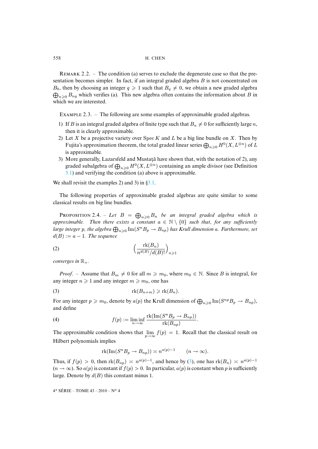REMARK 2.2. – The condition (a) serves to exclude the degenerate case so that the presentation becomes simpler. In fact, if an integral graded algebra B is not concentrated on  $B_0$ , then by choosing an integer  $q \geq 1$  such that  $B_q \neq 0$ , we obtain a new graded algebra  $\bigoplus_{n\geqslant 0} B_{nq}$  which verifies (a). This new algebra often contains the information about B in which we are interested.

EXAMPLE 2.3. – The following are some examples of approximable graded algebras.

- 1) If B is an integral graded algebra of finite type such that  $B_n \neq 0$  for sufficiently large n, then it is clearly approximable.
- 2) Let  $X$  be a projective variety over  $Spec K$  and  $L$  be a big line bundle on  $X$ . Then by Fujita's approximation theorem, the total graded linear series  $\bigoplus_{n\geqslant 0} H^0(X,L^{\otimes n})$  of  $L$ [is a](#page-11-0)pproximable.
- 3) More generally, Lazarsfeld and Mus[ta](#page-11-1)ta have shown that, with the notation of 2), any graded subalgebra of  $\bigoplus_{n\geqslant 0} H^0(X,L^{\otimes n})$  containing an ample divisor (see Definition 3.1) and verifying the condition (a) above is approximable.

We shall revisit the examples 2) and 3) in  $\S 3.1$ .

The following properties of approximable graded algebras are quite similar to some classical results on big line bundles.

**PROPOSITION** 2.4. – Let  $B = \bigoplus_{n\geqslant 0} B_n$  be an integral graded algebra which is *approximable. Then there exists a constant*  $a \in \mathbb{N} \setminus \{0\}$  *such that, for any sufficiently large integer p, the algebra*  $\bigoplus_{n\geqslant 0} \text{Im}(S^nB_p\to B_{np})$  *has Krull dimension a. Furthermore, set*  $d(B) := a - 1$ *. The sequence* 

$$
(2) \qquad \qquad \left(\frac{\text{rk}(B_n)}{n^{d(B)}/d(B)!}\right)_{n\geqslant 1}
$$

<span id="page-4-0"></span>*converges in*  $\mathbb{R}_+$ *.* 

*Proof.* – Assume that  $B_m \neq 0$  for all  $m \geq m_0$ , where  $m_0 \in \mathbb{N}$ . Since B is integral, for any integer  $n \geq 1$  and any integer  $m \geq m_0$ , one has

$$
\operatorname{rk}(B_{n+m}) \geqslant \operatorname{rk}(B_n).
$$

For any integer  $p \ge m_0$ , denote by  $a(p)$  the Krull dimension of  $\bigoplus_{n\ge 0} \text{Im}(S^{np}B_p \to B_{np}),$ and define

.

(4) 
$$
f(p) := \liminf_{n \to \infty} \frac{\text{rk}(\text{Im}(S^n B_p \to B_{np}))}{\text{rk}(B_{np})}
$$

The approximable condition shows that  $\lim_{p\to\infty} f(p) = 1$ . Recall that the classical result on Hilbert polynomials implies

<span id="page-4-1"></span>
$$
\mathrm{rk}(\mathrm{Im}(S^n B_p \to B_{np})) \asymp n^{a(p)-1} \qquad (n \to \infty).
$$

Thus, if  $f(p) > 0$ , then  $rk(B_{np}) \approx n^{a(p)-1}$ , and hence by (3), one has  $rk(B_n) \approx n^{a(p)-1}$  $(n \to \infty)$ . So  $a(p)$  is constant if  $f(p) > 0$ . In particular,  $a(p)$  is constant when p is sufficiently large. Denote by  $d(B)$  this constant minus 1.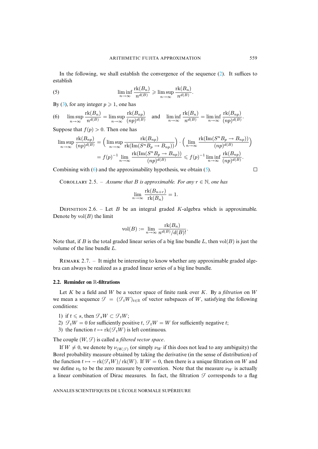In the following, we shall establish the convergence of the sequence  $(2)$ . It suffices to esta[bl](#page-4-0)ish

<span id="page-5-0"></span>(5) 
$$
\liminf_{n \to \infty} \frac{\text{rk}(B_n)}{n^{d(B)}} \geqslant \limsup_{n \to \infty} \frac{\text{rk}(B_n)}{n^{d(B)}}.
$$

By (3), for any integer  $p \ge 1$ , one has

(6)  $\limsup_{n\to\infty}$  $\mathrm{rk}(B_n)$  $\frac{n(B_n)}{n^{d(B)}} = \limsup_{n \to \infty}$  $\operatorname{rk}(B_{np})$  $\frac{\operatorname{Im}(\Sigma_{np})}{(np)^{d(B)}}$  and  $\liminf_{n\to\infty}$  $\mathrm{rk}(B_n)$  $\frac{n(Dn)}{n^{d(B)}} = \liminf_{n \to \infty}$  $\operatorname{rk}(B_{np})$  $\frac{\ln(D_n p)}{(np)^{d(B)}}$ .

Suppose that  $f(p) > 0$ . Then one has

$$
\limsup_{n \to \infty} \frac{\text{rk}(B_{np})}{(np)^{d(B)}} = \left(\limsup_{n \to \infty} \frac{\text{rk}(B_{np})}{\text{rk}(\text{Im}(S^n B_p \to B_{np}))}\right) \cdot \left(\lim_{n \to \infty} \frac{\text{rk}(\text{Im}(S^n B_p \to B_{np}))}{(np)^{d(B)}}\right)
$$

$$
= f(p)^{-1} \lim_{n \to \infty} \frac{\text{rk}(\text{Im}(S^n B_p \to B_{np}))}{(np)^{d(B)}} \leqslant f(p)^{-1} \liminf_{n \to \infty} \frac{\text{rk}(B_{np})}{(np)^{d(B)}}.
$$

Combining with (6) and the approximability hypothesis, we obtain (5).

COROLLARY 2.5. – *Assume that* B *is approximable. For any*  $r \in \mathbb{N}$ *, one has* 

$$
\lim_{n \to \infty} \frac{\text{rk}(B_{n+r})}{\text{rk}(B_n)} = 1.
$$

DEFINITION 2.6. – Let B be an integral graded K-algebra which is approximable. Denote by  $vol(B)$  the limit

$$
\text{vol}(B) := \lim_{n \to \infty} \frac{\text{rk}(B_n)}{n^{d(B)}/d(B)!}.
$$

Note that, if B is the total graded linear series of a big line bundle L, then  $vol(B)$  is just the volume of the line bundle L.

REMARK 2.7. – It might be interesting to know whether any approximable graded algebra can always be realized as a graded linear series of a big line bundle.

### **2.2. Reminder on** R**-filtrations**

Let  $K$  be a field and  $W$  be a vector space of finite rank over  $K$ . By a *filtration* on  $W$ we mean a sequence  $\mathcal{F} = (\mathcal{F}_t W)_{t \in \mathbb{R}}$  of vector subspaces of W, satisfying the following conditions:

- 1) if  $t \leq s$ , then  $\mathcal{F}_sW \subset \mathcal{F}_tW$ ;
- 2)  $\mathcal{F}_t W = 0$  for sufficiently positive t,  $\mathcal{F}_t W = W$  for sufficiently negative t;
- 3) the function  $t \mapsto \text{rk}(\mathcal{F}_tW)$  is left continuous.

The couple  $(W, \mathcal{F})$  is called a *filtered vector space*.

If  $W \neq 0$ , we denote by  $\nu_{(W, \mathcal{F})}$  (or simply  $\nu_W$  if this does not lead to any ambiguity) the Borel probability measure obtained by taking the derivative (in the sense of distribution) of the function  $t \mapsto -\text{rk}(\mathcal{F}_tW)/\text{rk}(W)$ . If  $W = 0$ , then there is a unique filtration on W and we define  $\nu_0$  to be the zero measure by convention. Note that the measure  $\nu_W$  is actually a linear combination of Dirac measures. In fact, the filtration  $\mathcal F$  corresponds to a flag

ANNALES SCIENTIFIQUES DE L'ÉCOLE NORMALE SUPÉRIEURE

 $\Box$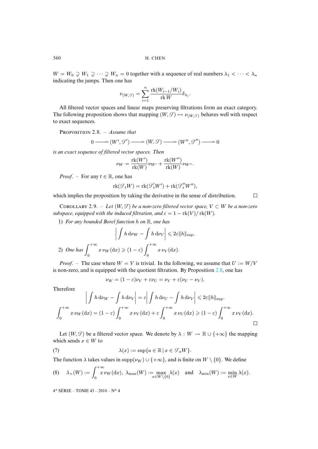$W = W_0 \supsetneq W_1 \supsetneq \cdots \supsetneq W_n = 0$  together with a sequence of real numbers  $\lambda_1 < \cdots < \lambda_n$ indicating the jumps. Then one has

$$
\nu_{(W,\mathcal{T})} = \sum_{i=1}^n \frac{\mathrm{rk}(W_{i-1}/W_i)}{\mathrm{rk}\,W} \delta_{\lambda_i}.
$$

All filtered vector spaces and linear maps preserving filtrations form an exact category. The following proposition shows that mapping  $(W, \mathcal{F}) \mapsto \nu_{W, \mathcal{F}}$  behaves well with respect to exact sequences.

PROPOSITION 2.8. – *Assume that* 

$$
0 \longrightarrow (W', \mathcal{G}') \longrightarrow (W, \mathcal{G}) \longrightarrow (W'', \mathcal{G}'') \longrightarrow 0
$$

*is an exact sequence of filtered vector spaces. Then*

$$
\nu_W = \frac{\mathrm{rk}(W')}{\mathrm{rk}(W)} \nu_{W'} + \frac{\mathrm{rk}(W'')}{\mathrm{rk}(W)} \nu_{W''}.
$$

<span id="page-6-1"></span>*Proof.* – For any  $t \in \mathbb{R}$ , one has

$$
rk(\mathcal{F}_t W) = rk(\mathcal{F}'_t W') + rk(\mathcal{F}''_t W''),
$$

 $\Box$ 

which implies the proposition by taking the derivative in the sense of distribution.

COROLLARY 2.9. – Let  $(W, \mathcal{F})$  be a non-zero filtered vector space,  $V \subset W$  be a non-zero *subspace, equipped with the induced filtration, and*  $\varepsilon = 1 - \text{rk}(V)/\text{rk}(W)$ .

1) *For any bounded Borel function* h *on* R*, one has*

$$
\left| \int h \, \mathrm{d}\nu_W - \int h \, \mathrm{d}\nu_V \right| \leq 2\varepsilon \|h\|_{\rm sup}.
$$
\n2) One has

\n
$$
\int_0^{+\infty} x \, \nu_W(\mathrm{d}x) \geq (1-\varepsilon) \int_0^{+\infty} x \, \nu_V(\mathrm{d}x).
$$

*Proof.* – The case where  $W = V$  is trivial. In the following, we assume that  $U := W/V$ is non-zero, and is equipped with the quotient filtration. By Proposition  $2.8$ , one has

<span id="page-6-0"></span>
$$
\nu_W = (1 - \varepsilon)\nu_V + \varepsilon \nu_U = \nu_V + \varepsilon (\nu_U - \nu_V).
$$

Therefore

$$
\left| \int h \, \mathrm{d}\nu_W - \int h \, \mathrm{d}\nu_V \right| = \varepsilon \left| \int h \, \mathrm{d}\nu_V - \int h \, \mathrm{d}\nu_V \right| \leq 2\varepsilon \|h\|_{\sup}.
$$

$$
\int_0^{+\infty} x \, \nu_W(\mathrm{d}x) = (1-\varepsilon) \int_0^{+\infty} x \, \nu_V(\mathrm{d}x) + \varepsilon \int_0^{+\infty} x \, \nu_U(\mathrm{d}x) \geq (1-\varepsilon) \int_0^{+\infty} x \, \nu_V(\mathrm{d}x).
$$

Let  $(W, \mathcal{F})$  be a filtered vector space. We denote by  $\lambda : W \to \mathbb{R} \cup \{+\infty\}$  the mapping which sends  $x \in W$  to

(7) 
$$
\lambda(x) := \sup \{ a \in \mathbb{R} \mid x \in \mathcal{F}_a W \}.
$$

The function  $\lambda$  takes values in supp( $\nu_W$ ) ∪ {+ $\infty$ }, and is finite on  $W \setminus \{0\}$ . We define

$$
(8) \quad \lambda_{+}(W):=\int_{0}^{+\infty}x\,\nu_{W}(\mathrm{d}x),\ \lambda_{\max}(W):=\max_{x\in W\setminus\{0\}}\lambda(x)\quad\text{and}\quad \lambda_{\min}(W):=\min_{x\in W}\lambda(x).
$$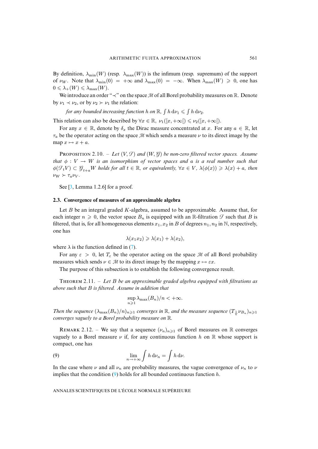By definition,  $\lambda_{\min}(W)$  (resp.  $\lambda_{\max}(W)$ ) is the infimum (resp. supremum) of the support of  $\nu_W$ . Note that  $\lambda_{\min}(0) = +\infty$  and  $\lambda_{\max}(0) = -\infty$ . When  $\lambda_{\max}(W) \ge 0$ , one has  $0 \leqslant \lambda_{+}(W) \leqslant \lambda_{\max}(W).$ 

We introduce an order " $\prec$ " on the space M of all Borel probability measures on R. Denote by  $\nu_1 \prec \nu_2$ , or by  $\nu_2 \succ \nu_1$  the relation:

for any bounded increasing function  $h$  on  $\mathbb{R}$ ,  $\int h \, \mathrm{d} \nu_1 \leqslant \int h \, \mathrm{d} \nu_2$ .

This relation can also be described by  $\forall x \in \mathbb{R}, \nu_1([x, +\infty]) \leq \nu_2([x, +\infty])$ .

For any  $x \in \mathbb{R}$ , denote by  $\delta_x$  the Dirac measure concentrated at x. For any  $a \in \mathbb{R}$ , let  $\tau_a$  be the operator acting on the space M which sends a measure  $\nu$  to its direct image by the map  $x \mapsto x + a$ .

PROPOSITION 2.10. – Let  $(V, \mathcal{F})$  and  $(W, \mathcal{G})$  be non-zero filtered vector spaces. Assume *that*  $\phi: V \to W$  *is an isomorphism of vector spaces and a is a real number such that*  $\phi(\mathcal{F}_t V) \subset \mathcal{G}_{t+a} W$  $\phi(\mathcal{F}_t V) \subset \mathcal{G}_{t+a} W$  $\phi(\mathcal{F}_t V) \subset \mathcal{G}_{t+a} W$  *holds for all*  $t \in \mathbb{R}$ *, or equivalently,*  $\forall x \in V$ *,*  $\lambda(\phi(x)) \geq \lambda(x) + a$ *, then*  $\nu_W \succ \tau_a \nu_V$ .

<span id="page-7-0"></span>See [3, Lemma 1.2.6] for a proof.

### **2.3. Convergence of measures of an approximable algebra**

Let  $B$  be an integral graded  $K$ -algebra, assumed to be approximable. Assume that, for each integer  $n \geq 0$ , the vector space  $B_n$  is equipped with an R-filtration  $\mathcal F$  such that B is filtered, that is, for all homogeneo[us](#page-6-0) elements  $x_1, x_2$  in B of degrees  $n_1, n_2$  in N, respectively, one has

$$
\lambda(x_1x_2) \geqslant \lambda(x_1) + \lambda(x_2),
$$

where  $\lambda$  is the function defined in (7).

<span id="page-7-1"></span>For any  $\varepsilon > 0$ , let  $T_{\varepsilon}$  be the operator acting on the space M of all Borel probability measures which sends  $\nu \in M$  to its direct image by the mapping  $x \mapsto \varepsilon x$ .

The purpose of this subsection is to establish the following convergence result.

T 2.11. – *Let* B *be an approximable graded algebra equipped with filtrations as above such that* B *is filtered. Assume in addition that*

$$
\sup_{n\geqslant 1} \lambda_{\max}(B_n)/n < +\infty.
$$

*Then the sequence*  $(\lambda_{\max}(B_n)/n)_{n\geqslant1}$  *converges in*  $\mathbb R$ *, and the measure sequence*  $(T_{\frac{1}{n}}\nu_{B_n})_{n\geqslant1}$ *converges vaguely to a Borel probability measure on* R*.*

REMARK 2.12. – We say that a sequence  $(\nu_n)_{n\geq 1}$  of Borel measures on R converges vaguely to a Borel measure  $\nu$  if, for any continuous function h on R whose support is compact, one has

(9) 
$$
\lim_{n \to +\infty} \int h \, \mathrm{d}\nu_n = \int h \, \mathrm{d}\nu.
$$

In the case where  $\nu$  and all  $\nu_n$  are probability measures, the vague convergence of  $\nu_n$  to  $\nu$ implies that the condition  $(9)$  holds for all bounded continuous function h.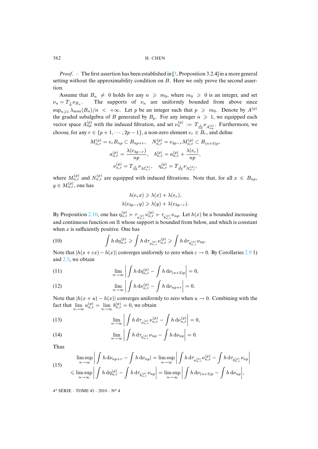*Proof*. – The first assertion has been established in [3, Proposition 3.2.4] in a more general setting without the approximability condition on  $B$ . Here we only prove the second assertion.

Assume that  $B_n \neq 0$  holds for any  $n \geq m_0$ , where  $m_0 \geq 0$  is an integer, and set  $\nu_n = T_{\frac{1}{n}} \nu_{B_n}$ The supports of  $\nu_n$  are uniformly bounded from above since  $\sup_{n\geq 1} \lambda_{\max}(B_n)/n$  < + $\infty$ . Let p be an integer such that  $p \geq m_0$ . Denote by  $A^{(p)}$ the graded subalgebra of B generated by  $B_p$ . For any integer  $n \geq 1$ , we equipped each vector space  $A_{np}^{(p)}$  with the induced filtration, and set  $\nu_n^{(p)} := T_{\frac{1}{np}} \nu_{A_{np}^{(p)}}$ . Furthermore, we choose, for any  $r \in \{p+1, \dots, 2p-1\}$ , a non-zero element  $e_r \in B_r$ , and define

$$
M_{n,r}^{(p)} = e_r B_{np} \subset B_{np+r}, \quad N_{n,r}^{(p)} = e_{3p-r} M_{n,r}^{(p)} \subset B_{(n+3)p},
$$

$$
a_{n,r}^{(p)} = \frac{\lambda(e_{3p-r})}{np}, \quad b_{n,r}^{(p)} = a_{n,r}^{(p)} + \frac{\lambda(e_r)}{np},
$$

$$
\nu_{n,r}^{(p)} = T_{\frac{1}{np}} \nu_{M_{n,r}^{(p)}}, \quad \eta_{n,r}^{(p)} = T_{\frac{1}{np}} \nu_{N_{n,r}^{(p)}},
$$

where  $M_{n,r}^{(p)}$  and  $N_{n,r}^{(p)}$  are equipped with induced filtrations. Note that, for all  $x \in B_{np}$ ,  $y \in M_{n,r}^{(p)},$  one has

$$
\lambda(e_r x) \geq \lambda(x) + \lambda(e_r),
$$
  

$$
\lambda(e_{3p-r} y) \geq \lambda(y) + \lambda(e_{3p-r}).
$$

By Proposition 2.10, one has  $\eta_{n,r}^{(p)} \succ \tau_{a_{n,r}^{(p)}} \nu_{n,r}^{(p)} \succ \tau_{b_{n,r}^{(p)}} \nu_{np}$ . Let  $h(x)$  be a bounded increasing and continuous function on  $\mathbb R$  whose support is bounded from below, and which is constant when  $x$  is sufficiently positive. One has

(10) 
$$
\int h \, \mathrm{d}\eta_{n,r}^{(p)} \geqslant \int h \, \mathrm{d}\tau_{a_{n,r}^{(p)}} \nu_{n,r}^{(p)} \geqslant \int h \, \mathrm{d}\tau_{b_{n,r}^{(p)}} \nu_{np}.
$$

<span id="page-8-0"></span>Note that  $|h(x + \varepsilon x) - h(x)|$  converges uniformly to zero when  $\varepsilon \to 0$ . By Corollaries 2.9 1) and 2.5, we obtain

(11) 
$$
\lim_{n \to \infty} \left| \int h \, d\eta_{n,r}^{(p)} - \int h \, d\nu_{(n+3)p} \right| = 0,
$$

(12) 
$$
\lim_{n \to \infty} \left| \int h \, \mathrm{d}\nu_{n,r}^{(p)} - \int h \, \mathrm{d}\nu_{np+r} \right| = 0.
$$

Note that  $|h(x + u) - h(x)|$  converges uniformly to zero when  $u \to 0$ . Combining with the fact that  $\lim_{n \to \infty} a_{n,r}^{(p)} = \lim_{n \to \infty} b_{n,r}^{(p)} = 0$ , we obtain

<span id="page-8-1"></span>(13) 
$$
\lim_{n \to \infty} \left| \int h \, d\tau_{a_{n,r}^{(p)}} \nu_{n,r}^{(p)} - \int h \, d\nu_{n,r}^{(p)} \right| = 0,
$$

(14) 
$$
\lim_{n \to \infty} \left| \int h \, \mathrm{d}\tau_{b_{n,r}^{(p)}} \nu_{np} - \int h \, \mathrm{d}\nu_{np} \right| = 0.
$$

<span id="page-8-2"></span>Thus

(15) 
$$
\limsup_{n \to \infty} \left| \int h \, d\nu_{np+r} - \int h \, d\nu_{np} \right| = \limsup_{n \to \infty} \left| \int h \, d\tau_{a_{n,r}^{(p)}} \nu_{n,r}^{(p)} - \int h \, d\tau_{b_{n,r}^{(p)}} \nu_{np} \right|
$$

$$
\leq \limsup_{n \to \infty} \left| \int h \, d\eta_{n,r}^{(p)} - \int h \, d\tau_{b_{n,r}^{(p)}} \nu_{np} \right| = \limsup_{n \to \infty} \left| \int h \, d\nu_{(n+3)p} - \int h \, d\nu_{np} \right|,
$$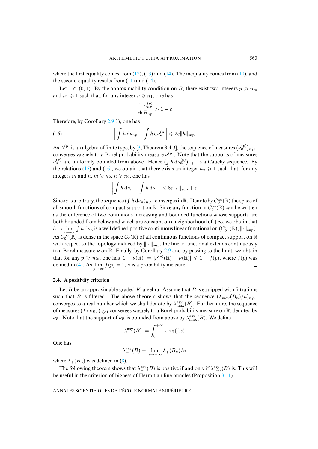where the first equality comes from  $(12)$ ,  $(13)$  and  $(14)$ . The inequality comes from  $(10)$ , and the second equality results from  $(11)$  and  $(14)$ .

Let  $\varepsilon \in (0,1)$ . By the approximability condition on B, there exist two integers  $p \geq m_0$ and  $n_1 \geq 1$  such that, f[or an](#page-6-1)y integer  $n \geq n_1$ , one has

<span id="page-9-0"></span>
$$
\frac{\operatorname{rk} A_{np}^{(p)}}{\operatorname{rk} B_{np}} > 1 - \varepsilon.
$$

Therefore, by Corollary 2.9 1), one h[as](#page-23-11)

(16) 
$$
\left| \int h \, \mathrm{d}\nu_{np} - \int h \, \mathrm{d}\nu_n^{(p)} \right| \leqslant 2\varepsilon \|h\|_{\sup}.
$$

As  $A^{(p)}$  is an [alge](#page-8-2)bra o[f fin](#page-9-0)ite type, by [3, Theorem 3.4.3], the sequence of measures  $(\nu_n^{(p)})_{n\geq 1}$ converges vaguely to a Borel probability measure  $\nu^{(p)}$ . Note that the supports of measures  $\nu_n^{(p)}$  are uniformly bounded from above. Hence  $(\int h \, d\nu_n^{(p)})_{n \geq 1}$  is a Cauchy sequence. By the relations (15) and (16), we obtain that there exists an integer  $n_2 \geq 1$  such that, for any integers m and n,  $m \ge n_2$ ,  $n \ge n_2$ , one has

$$
\left| \int h \, \mathrm{d}\nu_n - \int h \, \mathrm{d}\nu_m \right| \leqslant 8\varepsilon \|h\|_{\sup} + \varepsilon.
$$

Since  $\varepsilon$  is arbitrary, the sequence  $(\int h d\nu_n)_{n\geqslant 1}$  converges in  $\mathbb R$ . Denote by  $C_0^{\infty}(\mathbb R)$  the space of all smooth functions of compact support on  $\mathbb R$ . Since any function in  $C_0^{\infty}(\mathbb R)$  can be written as the difference of two continuous increasing and bounded functions whose supports are both bounded from below and which are constant on a neighborhood of  $+\infty$ , we obtain that  $h \mapsto \lim_{n \to \infty} \int h d\nu_n$  is a well defined positive contin[uous](#page-6-1) linear functional on  $(C_0^{\infty}(\mathbb{R}), ||\cdot||_{\text{sup}})$ . As  $C_0^{\infty}(\mathbb{R})$  is dense in the space  $C_c(\mathbb{R})$  of all continuous functions of compact support on  $\mathbb R$ with respe[ct](#page-4-1) to the topology induced by  $\|\cdot\|_{\text{sup}}$ , the linear functional extends continuously to a Borel measure  $\nu$  on  $\mathbb R$ . Finally, by Corollary 2.9 and by passing to the limit, we obtain that for any  $p \geq m_0$ , one has  $|1 - \nu(\mathbb{R})| = |\nu^{(p)}(\mathbb{R}) - \nu(\mathbb{R})| \leq 1 - f(p)$ , where  $f(p)$  was  $\Box$ defined in (4). As  $\lim_{p\to\infty} f(p) = 1$ ,  $\nu$  is a probability measure.

### **2.4. A positivity criterion**

Let B be an approximable graded K-algebra. Assume that B is equipped with filtrations such that B is filtered. The above theorem shows that the sequence  $(\lambda_{\max}(B_n)/n)_{n\geq 1}$ converges to a real number which we shall denote by  $\lambda_{\max}^{\text{asy}}(B)$ . Furthermore, the sequence of measures  $(T_{\frac{1}{n}}\nu_{B_n})_{n\geq 1}$  converges vaguely to a Borel probability measure on  $\mathbb{R}$ , denoted by  $\nu_B$ . Note that the support of  $\nu_B$  is bounded from above by  $\lambda_{\max}^{\rm asy}(B)$ . We define

$$
\lambda_+^{\rm asy}(B) := \int_0^{+\infty} x \, \nu_B(\mathrm{d} x).
$$

One has

$$
\lambda_+^{\mathrm{asy}}(B) = \lim_{n \to +\infty} \lambda_+(B_n)/n,
$$

<span id="page-9-1"></span>where  $\lambda_{+}(B_n)$  was defined in (8).

The following theorem shows that  $\lambda_{+}^{asy}(B)$  is positive if and only if  $\lambda_{\max}^{asy}(B)$  is. This will be useful in the criterion of bigness of Hermitian line bundles (Proposition 3.11).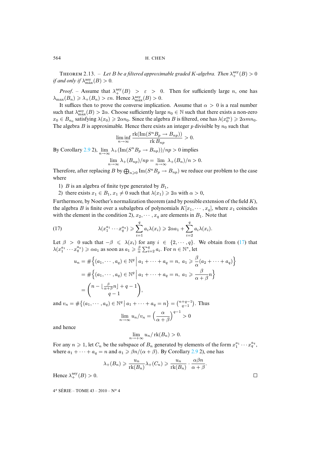THEOREM 2.13. – Let B be a filtered approximable graded K-algebra. Then  $\lambda_{+}^{\text{asy}}(B) > 0$ *if and only if*  $\lambda_{\max}^{\mathrm{asy}}(B) > 0$ *.* 

*Proof.* – Assume that  $\lambda_{+}^{asy}(B) > \varepsilon > 0$ . Then for sufficiently large n, one has  $\lambda_{\max}(B_n) \geq \lambda_+(B_n) > \varepsilon n$ . Hence  $\lambda_{\max}^{\mathrm{asy}}(B) > 0$ .

It suffices then to prove the converse implication. Assume that  $\alpha > 0$  is a real number such that  $\lambda_{\max}^{\text{asy}}(B) > 2\alpha$ . Choose sufficiently large  $n_0 \in \mathbb{N}$  such that there exists a non-zero  $x_0 \in B_{n_0}$  satisfying  $\lambda(x_0) \geq 2\alpha n_0$ . Since the algebra B is filtered, one has  $\lambda(x_0^m) \geq 2\alpha mn_0$ . The algebra B [is](#page-6-1) approximable. Hence there exists an integer p divisible by  $n_0$  such that

$$
\liminf_{n \to \infty} \frac{\text{rk}(\text{Im}(S^n B_p \to B_{np}))}{\text{rk } B_{np}} > 0.
$$

By Corollary 2.9 2),  $\lim_{n\to\infty} \lambda_+(\text{Im}(S^nB_p \to B_{np}))/np > 0$  implies

$$
\lim_{n \to \infty} \lambda_+(B_{np})/np = \lim_{n \to \infty} \lambda_+(B_n)/n > 0.
$$

Therefore, after replacing B by  $\bigoplus_{n\geqslant 0} \text{Im}(S^nB_p \to B_{np})$  we reduce our problem to the case where

- 1) B is an algebra of finite type generated by  $B_1$ ,
- 2) there exists  $x_1 \in B_1$ ,  $x_1 \neq 0$  such that  $\lambda(x_1) \geq 2\alpha$  with  $\alpha > 0$ ,

Furthermore, by Noether's normalization theorem (and by possible extension of the field K), the algebra B is finite over a subalgebra of polynomials  $K[x_1, \dots, x_q]$ , where  $x_1$  coincides with the element in the condition 2),  $x_2, \dots, x_q$  are elements in  $B_1$ . Note that

(17) 
$$
\lambda(x_1^{a_1}\cdots x_q^{a_q}) \geqslant \sum_{i=1}^q a_i \lambda(x_i) \geqslant 2\alpha a_1 + \sum_{i=2}^q a_i \lambda(x_i).
$$

Let  $\beta > 0$  such that  $-\beta \leq \lambda(x_i)$  for any  $i \in \{2, \dots, q\}$ . We obtain from (17) that  $\lambda(x_1^{a_1} \cdots x_q^{a_q}) \ge \alpha a_1$  as soon as  $a_1 \ge \frac{\beta}{\alpha} \sum_{i=2}^q a_i$ . For  $n \in \mathbb{N}^*$ , let

$$
u_n = \#\left\{ (a_1, \dots, a_q) \in \mathbb{N}^q \mid a_1 + \dots + a_q = n, \ a_1 \ge \frac{\beta}{\alpha} (a_2 + \dots + a_q) \right\}
$$

$$
= \#\left\{ (a_1, \dots, a_q) \in \mathbb{N}^q \mid a_1 + \dots + a_q = n, \ a_1 \ge \frac{\beta}{\alpha + \beta} n \right\}
$$

$$
= \binom{n - \lfloor \frac{\beta}{\alpha + \beta} n \rfloor + q - 1}{q - 1},
$$

$$
= \#\left\{ (a_1, \dots, a_q) \in \mathbb{N}^q \mid a_1 + \dots + a_q = n \right\} = \binom{n + q - 1}{1}. \text{ Thus}
$$

and  $v_n = #\{(a_1, \dots, a_q) \in \mathbb{N}^q | a_1 + \dots + a_q = n\} = \binom{n+q-1}{q-1}$ . Thus  $\lim_{n \to \infty} u_n/v_n = \left(\frac{\alpha}{\alpha + 1}\right)$  $\big)^{q-1} > 0$ 

and hence

$$
\lim_{n \to +\infty} u_n / \operatorname{rk}(B_n) > 0.
$$

 $\alpha + \beta$ 

For any  $n \geq 1$ , let  $C_n$  be the subspace of  $B_n$  generated by elements of the form  $x_1^{a_1} \cdots x_q^{a_q}$ , where  $a_1 + \cdots + a_q = n$  and  $a_1 \ge \frac{\beta n}{\alpha + \beta}$ . By Corollary 2.9 2), one has

$$
\lambda_{+}(B_{n}) \geqslant \frac{u_{n}}{\mathrm{rk}(B_{n})} \lambda_{+}(C_{n}) \geqslant \frac{u_{n}}{\mathrm{rk}(B_{n})} \cdot \frac{\alpha \beta n}{\alpha + \beta}.
$$

Hence  $\lambda_+^{\rm asy}(B) > 0$ .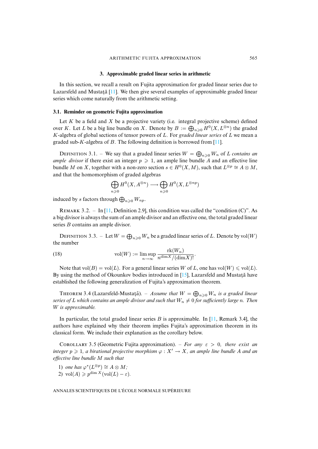### **3. [Appr](#page-23-7)oximable graded linear series in arithmetic**

<span id="page-11-1"></span>In this section, we recall a result on Fujita approximation for graded linear series due to Lazarsfeld and Mustată  $[11]$ . We then give several examples of approximable graded linear series which come naturally from the arithmetic setting.

#### **3.1. Reminder on geometric Fujita approximation**

<span id="page-11-0"></span>Let  $K$  be a field and  $X$  be a project[ive](#page-23-7) variety (i.e. integral projective scheme) defined over K. Let L be a big line bundle on X. Denote by  $B := \bigoplus_{n \geq 0} H^0(X, L^{\otimes n})$  the graded K-algebra of global sections of tensor powers of L. For *graded linear series* of L we mean a graded sub-K-algebra of B. The following definition is borrowed from  $[11]$ .

DEFINITION 3.1. – We say that a graded linear series  $W = \bigoplus_{n \geq 0} W_n$  of L *contains an ample divisor* if there exist an integer  $p \geq 1$ , an ample line bundle A and an effective line bundle M on X, together with a non-zero section  $s \in H^0(X, M)$ , such that  $L^{\otimes p} \cong A \otimes M$ , and that the homomorphism of graded algebras

$$
\bigoplus_{n\geqslant 0}H^0(X,A^{\otimes n})\longrightarrow \bigoplus_{n\geqslant 0}H^0(X,L^{\otimes np})
$$

induced by  $s$  factors through  $\bigoplus_{n\geqslant 0}W_{np}.$ 

REMARK 3.2. – In [11, Definition 2.9], this condition was called the "condition  $(C)$ ". As a big divisor is always the sum of an ample divisor and an effective one, the total graded linear series *B* contains an ample divisor.

DEFINITION 3.3. – Let  $W = \bigoplus_{n \geq 0} W_n$  be a graded linear series of L. Denote by vol $(W)$ the number

(18) 
$$
\text{vol}(W) := \limsup_{n \to \infty} \frac{\text{rk}(W_n)}{n^{\dim X} / (\dim X)!}.
$$

<span id="page-11-2"></span>Note that  $vol(B) = vol(L)$ . For a general linear series W of L, one has  $vol(W) \leq vol(L)$ . By using the method of Okounkov bodies introduced in  $[15]$ , Lazarsfeld and Mustata have established the following generalization of Fujita's approximation theorem.

THEOREM 3.4 (Lazarsfeld-Mustață). – Assume that  $W = \bigoplus_{n \geq 0} W_n$  is a graded linear *series of* L *which contains an ample divisor and such that*  $W_n \neq 0$  *for su[fficie](#page-23-7)ntly large* n. Then W *is approximable.*

In particular, the total graded linear series B is approximable. In [11, Remark 3.4], the authors have explained why their theorem implies Fujita's approximation theorem in its classical form. We include their explanation as the corollary below.

COROLLARY 3.5 (Geometric Fujita approximation). – *For any*  $\varepsilon > 0$ , there exist an *integer*  $p \geq 1$ , a birational projective morphism  $\varphi : X' \to X$ , an ample line bundle A and an *effective line bundle* M *such that*

1) *one has*  $\varphi^*(L^{\otimes p}) \cong A \otimes M$ ;

2) vol $(A) \geqslant p^{\dim X} (\text{vol}(L) - \varepsilon).$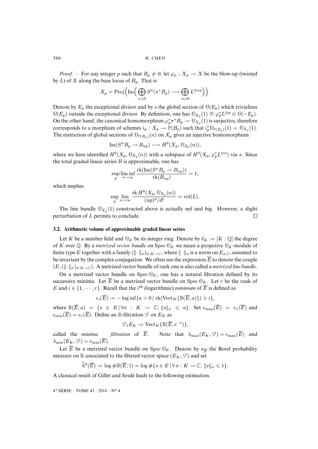*Proof.* – For any integer p such that  $B_p \neq 0$ , let  $\varphi_p : X_p \to X$  be the blow-up (twisted by L) of X along the base locus of  $B_p$ . That is

$$
X_p = \operatorname{Proj}\left(\operatorname{Im}\left(\bigoplus_{n\geqslant 0} S^n(\pi^*B_p) \longrightarrow \bigoplus_{n\geqslant 0} L^{\otimes np}\right)\right).
$$

Denote by  $E_p$  the exceptional divisor and by s the global section of  $\Theta(E_p)$  which trivializes  $\Theta(E_p)$  outside the exceptional divisor. By definition, one has  $\Theta_{X_p}(1) \cong \varphi_p^* L^{\otimes p} \otimes \Theta(-E_p)$ . On the other hand, the canonical homomorphism  $\varphi_p^* \pi^* B_p \to \mathcal{O}_{X_p}(1)$  is surjective, therefore corresponds to a morphism of schemes  $i_p: X_p \to \mathbb{P}(B_p)$  such that  $i_p^* \mathcal{O}_{\mathbb{P}(B_p)}(1) = \mathcal{O}_{X_p}(1)$ . The restriction of global sections of  $\mathcal{O}_{\mathbb{P}(B_n)}(n)$  on  $X_p$  gives an injective homomorphism

$$
\operatorname{Im}(S^n B_p \to B_{np}) \longrightarrow H^0(X_p, \mathcal{O}_{X_p}(n)),
$$

where we have identified  $H^0(X_p, \mathcal{O}_{X_p}(n))$  with a subspace of  $H^0(X_p, \varphi_p^* L^{\otimes n})$  via s. Since the total graded linear series  $B$  is approximable, one has

$$
\sup_{p} \liminf_{n \to \infty} \frac{\text{rk}(\text{Im}(S^n B_p \to B_{np}))}{\text{rk}(B_{np})} = 1,
$$

which implies

$$
\sup_{p} \lim_{n \to \infty} \frac{\text{rk } H^0(X_p, \mathcal{O}_{X_p}(n))}{(np)^d/d!} = \text{vol}(L).
$$

The line bundle  $\mathcal{O}_{X_p}(1)$  constructed above is actually nef and big. However, a slight perturbation of L permits to conclude.  $\Box$ 

#### **3.2. Arithmetic volume of approximable graded linear series**

sup

Let K be a number field and  $\mathcal{O}_K$  be its integer ring. Denote by  $\delta_K := [K : \mathbb{Q}]$  the degree of K over Q. By a *metrized vector bundle* on Spec  $\mathcal{O}_K$  we mean a projective  $\mathcal{O}_K$ -module of finite type E together with a family  $(\Vert \cdot \Vert_{\sigma})_{\sigma: K \to \mathbb{C}}$ , where  $\Vert \cdot \Vert_{\sigma}$  is a norm on  $E_{\sigma, \mathbb{C}}$ , assumed to be invariant by the complex conjugation. We often use the expression  $\overline{E}$  to denote the couple  $(E,(\|\cdot\|_{\sigma})_{\sigma:K\to\mathbb{C}})$ . A metrized vector bundle of rank one is also called a *metrized line bundle*.

On a metrized vector bundle on Spec  $\mathcal{O}_K$ , one has a natural filtration defined by its successive minima. Let  $\overline{E}$  be a metrized vector bundle on Spec  $\mathcal{O}_K$ . Let r be the rank of E and  $i \in \{1, \dots, r\}$ . Recall that the i<sup>th</sup> (logarithmic) *minimum* of  $\overline{E}$  is defined as

$$
e_i(\overline{E}) := -\log \inf \{a > 0 \mid \text{rk}(\text{Vect}_K\{\mathbb{B}(\overline{E},a)\}) \geq i \},\
$$

where  $\mathbb{B}(\overline{E}, a) = \{s \in E \mid \forall \sigma : K \to \mathbb{C}, ||s||_{\sigma} \leq a\}$ . Set  $e_{\max}(\overline{E}) = e_1(\overline{E})$  and  $e_{\min}(\overline{E}) = e_r(\overline{E})$ . Define an R-filtration  $\mathcal F$  on  $E_K$  as

$$
\mathcal{F}_t E_K := \text{Vect}_K \{ \mathbb{B}(\overline{E}, e^{-t}) \},
$$

called the *minima filtration* of  $\overline{E}$ . Note that  $\lambda_{\text{max}}(E_K, \mathcal{F}) = e_{\text{max}}(\overline{E})$  and  $\lambda_{\min}(E_K, \mathcal{F}) = e_{\min}(E).$ 

Let  $\overline{E}$  be a metrized vector bundle on Spec  $\mathcal{O}_K$ . Denote by  $\nu_{\overline{E}}$  the Borel probability measure on R associated to the filtered vector space  $(E_K, \mathcal{F})$  and set

$$
\widehat{h}^0(\overline{E}) := \log \# \mathbb{B}(\overline{E}, 1) = \log \# \{ s \in E \, | \, \forall \, \sigma : K \to \mathbb{C}, \, \| s \|_{\sigma} \leqslant 1 \}.
$$

<span id="page-12-0"></span>A classical result of Gillet and Soulé leads to the following estimation.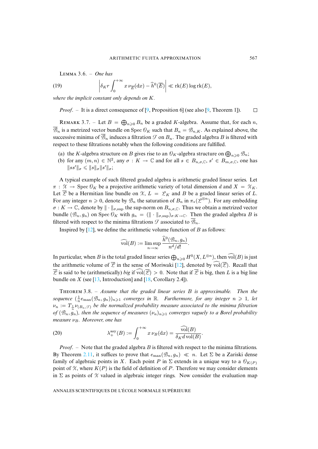<span id="page-13-1"></span> $LEMMA 3.6. - One has$ 

(19) 
$$
\left| \delta_{K} r \int_0^{+\infty} x \, \nu_{\overline{E}}(\mathrm{d}x) - \widehat{h}^0(\overline{E}) \right| \ll \mathrm{rk}(E) \log \mathrm{rk}(E),
$$

*where the implicit constant only depends on* K*.*

*Proof.* – It is a direct consequence of [9, Proposition 6] (see also [9, Theorem 1]).  $\Box$ 

REMARK 3.7. – Let  $B = \bigoplus_{n \geq 0} B_n$  be a graded K-algebra. Assume that, for each n,  $\overline{\mathcal{B}}_n$  is a metrized vector bundle on Spec  $\mathcal{O}_K$  such that  $B_n = \mathcal{B}_{n,K}$ . As explained above, the successive minima of  $\overline{\mathcal{B}}_n$  induces a filtration  $\mathcal F$  on  $B_n$ . The graded algebra B is filtered with respect to these filtrations notably when the following conditions are fulfilled.

- (a) the K-algebra structure on B gives rise to an  $\mathcal{O}_K$ -algebra structure on  $\bigoplus_{n\geq 0} \mathcal{B}_n$ ;
- (b) for any  $(m, n) \in \mathbb{N}^2$ , any  $\sigma : K \to \mathbb{C}$  and for all  $s \in B_{n,\sigma,\mathbb{C}}$ ,  $s' \in B_{m,\sigma,\mathbb{C}}$ , one has  $\|ss'\|_{\sigma}\leqslant \|s\|_{\sigma}\|s'\|_{\sigma};$

A typical example of such filtered graded algebra is arithmetic graded linear series. Let  $\pi$ :  $\mathcal{X} \to \text{Spec } \mathcal{O}_K$  be a projective arithmetic variety of total dimension d and  $X = \mathcal{X}_K$ . Let  $\overline{\mathcal{L}}$  be a Hermitian line bundle on  $\mathcal{K}, L = \mathcal{L}_K$  and B be a graded linear series of L. For any integer  $n \geq 0$ , denote by  $\mathcal{B}_n$  the saturation of  $B_n$  in  $\pi_*(\mathcal{L}^{\otimes n})$ . For any embedding  $\sigma: K \to \mathbb{C}$ , de[not](#page-23-8)e by  $\|\cdot\|_{\sigma, \text{sup}}$  the sup-norm on  $B_{n,\sigma,\mathbb{C}}$ . Thus we obtain a metrized vector bundle  $(\mathcal{B}_n, g_n)$  on Spec  $\mathcal{O}_K$  with  $g_n = (\Vert \cdot \Vert_{\sigma, \sup})_{\sigma: K \to \mathbb{C}}$ . Then the graded algebra B is filtered with respect to the minima filtrations  $\mathcal F$  associated to  $\overline{\mathcal B}_n$ .

Inspired by  $[12]$ , we define the arithmetic volume function of  $B$  as follows:

$$
\widehat{\text{vol}}(B) := \limsup_{n \to \infty} \frac{\widehat{h}^0(\mathcal{B}_n, g_n)}{n^d/d!}.
$$

<span id="page-13-2"></span>In particular, when [B](#page-23-9) is the total graded [line](#page-23-15)ar series  $\bigoplus_{n\geqslant 0} H^0(X, L^{\otimes n})$ , then  $\widehat{\text{vol}}(B)$  is just the arithmetic volume of  $\overline{Z}$  in the sense of Moriwaki [12], denoted by  $\widehat{vol}(\overline{Z})$ . Recall that  $\overline{\mathscr{L}}$  is said to be (arithmetically) *big* if  $\text{vol}(\mathscr{L}) > 0$ . Note that if  $\overline{\mathscr{L}}$  is big, then L is a big line bundle on X (see [13, Introduction] and [18, Corollary 2.4]).

<span id="page-13-0"></span>T 3.8. – *Assume that the graded linear series* B *is approximable. Then the* sequence  $(\frac{1}{n}e_{\max}(\mathcal{B}_n, g_n))_{n\geqslant 1}$  *converges in*  $\mathbb R$ *. Furthermore, for any integer*  $n \geqslant 1$ *, let*  $\nu_n := T_{\frac{1}{n}} \nu_{(B_n, \mathcal{F})}$  be the normalized probability measure associated to the minima filtration *of*  $(\mathcal{B}_n, g_n)$ , then the sequence of measures  $(\nu_n)_{n\geq 1}$  converges vaguely to a Borel probability *measure*  $ν_B$ *. Moreover, one has* 

(20) 
$$
\lambda_+^{\rm asy}(B) := \int_0^{+\infty} x \,\nu_B(\mathrm{d}x) = \frac{\widehat{\text{vol}}(B)}{\delta_K d \text{ vol}(B)}.
$$

*Proof*. – Note that the graded algebra B is filtered with respect to the minima filtrations. By Theorem 2.11, it suffices to prove that  $e_{\text{max}}(\mathcal{B}_n, g_n) \ll n$ . Let  $\Sigma$  be a Zariski dense family of algebraic points in X. Each point P in  $\Sigma$  extends in a unique way to a  $\mathcal{O}_{K(P)}$ point of  $X$ , where  $K(P)$  is the field of definition of P. Therefore we may consider elements in  $\Sigma$  as points of X valued in algebraic integer rings. Now consider the evaluation map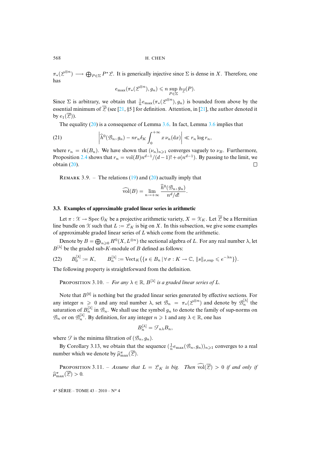$\pi_*(\mathcal{L}^{\otimes n}) \longrightarrow \bigoplus_{P \in \Sigma} P^* \mathcal{L}$ . It is generically injective since  $\Sigma$  is dense in X. Therefore, one has

$$
e_{\max}(\pi_*(\mathcal{L}^{\otimes n}), g_n) \leqslant n \sup_{P \in \Sigma} h_{\overline{\mathcal{L}}}(P).
$$

Since  $\Sigma$  is arbit[rary](#page-13-0), we obtain that  $\frac{1}{n}e_{\max}(\pi_*(\mathcal{L}^{\otimes n}), g_n)$  $\frac{1}{n}e_{\max}(\pi_*(\mathcal{L}^{\otimes n}), g_n)$  $\frac{1}{n}e_{\max}(\pi_*(\mathcal{L}^{\otimes n}), g_n)$  is bound[ed f](#page-12-0)rom above by the essential minimum of  $\overline{Z}$  (see [21, §5 ] for definition. Attention, in [21], the author denoted it by  $e_1(\overline{\mathcal{L}})$ ).

The equality (20) is a consequence of Lemma 3.6. In fact, Lemma 3.6 implies that

(21) 
$$
\left|\widehat{h}^0(\mathcal{B}_n, g_n) - nr_n \delta_K \int_0^{+\infty} x \,\nu_n(\mathrm{d}x)\right| \ll r_n \log r_n,
$$

where  $r_n = \text{rk}(B_n)$ . We have shown that  $(\nu_n)_{n \geq 1}$  converges vaguely to  $\nu_B$ . Furthermore, Proposition 2.4 shows that  $r_n = \text{vol}(B)n^{d-1}/(d-1)! + o(n^{d-1})$  $r_n = \text{vol}(B)n^{d-1}/(d-1)! + o(n^{d-1})$  $r_n = \text{vol}(B)n^{d-1}/(d-1)! + o(n^{d-1})$ . By passing to the limit, we obtain (20).  $\Box$ 

REMARK 3.9. – The relations  $(19)$  and  $(20)$  actually imply that

$$
\widehat{\text{vol}}(B) = \lim_{n \to +\infty} \frac{\widehat{h}^0(\mathcal{B}_n, g_n)}{n^d/d!}.
$$

### **3.3. Examples of approximable graded linear series in arithmetic**

Let  $\pi : \mathcal{X} \to \text{Spec } \mathcal{O}_K$  be a projective arithmetic variety,  $X = \mathcal{X}_K$ . Let  $\overline{\mathcal{X}}$  be a Hermitian line bundle on X such that  $L := \mathcal{L}_K$  is big on X. In this subsection, we give some examples of approximable graded linear series of  $L$  which come from the arithmetic.

<span id="page-14-1"></span>Denote by  $B = \bigoplus_{n \geq 0} H^0(X, L^{\otimes n})$  the sectional algebra of L. For any real number  $\lambda$ , let  $B^{[\lambda]}$  be the graded sub-K-module of B defined as follows:

$$
(22) \qquad B_0^{[\lambda]} := K, \qquad B_n^{[\lambda]} := \text{Vect}_K \left( \{ s \in B_n \, | \, \forall \, \sigma : K \to \mathbb{C}, \, \| s \|_{\sigma, \sup} \leqslant e^{-\lambda n} \} \right).
$$

The following property is straightforward from the definition.

**PROPOSITION 3.10.** – *For any*  $\lambda \in \mathbb{R}$ ,  $B^{[\lambda]}$  *is a graded linear series of L.* 

Note that  $B^{[0]}$  is nothing but the graded linear series generated by effective sections. For any integer  $n \geq 0$  and any real number  $\lambda$ , set  $\mathcal{B}_n = \pi_*(\mathcal{L}^{\otimes n})$  and denote by  $\mathcal{B}_n^{[\lambda]}$  the saturation of  $B_n^{[\lambda]}$  in  $\mathcal{B}_n$ . We shall use the symbol  $g_n$  to denote the family of sup-norms on  $\mathscr{B}_n$  or on  $\mathscr{B}_n^{[\lambda]}$ . By definition, for any integer  $n\geqslant 1$  and any  $\lambda\in\mathbb{R},$  one has

$$
B_n^{[\lambda]} = \mathcal{F}_{n\lambda} B_n,
$$

<span id="page-14-0"></span>where  $\mathcal F$  is the minima filtration of  $(\mathcal B_n, g_n)$ .

By Corollary 3.13, we obtain that the sequence  $(\frac{1}{n}e_{\text{max}}(\mathcal{B}_n, g_n))_{n \geq 1}$  converges to a real number which we denote by  $\widehat{\mu}_{\max}^{\pi}(\overline{\mathscr{L}})$ .

**PROPOSITION** 3.11. – *Assume that*  $L = \mathcal{L}_K$  *is big. Then*  $\widehat{\text{vol}}(\overline{\mathcal{L}}) > 0$  *if and only if*  $\widehat{\mu}_{\max}^{\pi}(\overline{\mathcal{L}}) > 0.$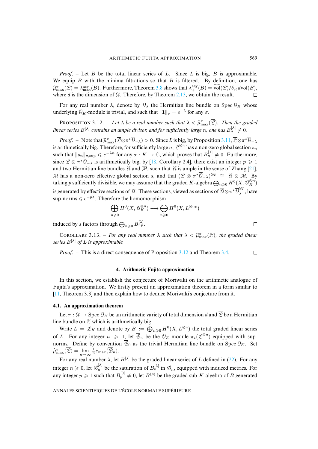*Proof.* – Let B be the total linear series of L. [Since](#page-9-1) L is big, B is approximable. We equip  $B$  with the minima filtrations so that  $B$  is filtered. By definition, one has  $\widehat{\mu}_{\max}^{\pi}(\overline{\mathcal{L}}) = \lambda_{\max}^{\text{asy}}(B)$ . Furthermore, Theorem 3.8 shows that  $\lambda_{+}^{\text{asy}}(B) = \widehat{\text{vol}}(\overline{\mathcal{L}})/\delta_K d\text{vol}(B)$ , where d is the dimension of  $X$ . Therefore, by Theorem 2.13, we obtain the result.

<span id="page-15-0"></span>For any real number  $\lambda$ , denote by  $\overline{\Theta}_{\lambda}$  the Hermitian line bundle on Spec  $\mathcal{O}_K$  whose underlying  $\mathcal{O}_K$ -module is trivial, and such that  $\|\mathbf{1}\|_{\sigma} = e^{-\lambda}$  for any  $\sigma$ .

**PROPOSITION** 3.12. – Let  $\lambda$  be a real number such that  $\lambda < \widehat{\mu}_{\max}^{\pi}(\overline{\mathcal{L}})$ . [Then](#page-14-0) the graded linear series  $B^{[\lambda]}$  contains an ample divisor, and for sufficiently large n, one has  $B^{[\lambda]}_{n}\neq 0$ .

*Proof.* – Note that  $\hat{\mu}_{\text{max}}^{\pi}(\overline{\mathcal{L}} \otimes \pi^* \overline{\mathcal{O}}_{-\lambda}) > 0$ [. S](#page-23-15)ince L is big, by Proposition 3.11,  $\overline{\mathcal{L}} \otimes \pi^* \overline{\mathcal{O}}_{-\lambda}$ i[s](#page-24-0) arithmetically big. Therefore, for sufficiently large  $n, \mathscr{L}^{\otimes n}$  has a non-zero global section  $s_n$ such that  $\|s_n\|_{\sigma,\sup} \leqslant e^{-\lambda n}$  for any  $\sigma: K \to \mathbb{C}$ , which proves that  $B_n^{[\lambda]} \neq 0$ . Furthermore, since  $\overline{Z} \otimes \pi^* \overline{0}_{-\lambda}$  is arithmetically big, by [18, Corollary 2.4], there exist an integer  $p \ge 1$ and two Hermitian line bundles  $\overline{\mathcal{A}}$  and  $\overline{\mathcal{M}}$ , such that  $\overline{\mathcal{A}}$  is ample in the sense of Zhang [21],  $\overline{\mathcal{M}}$  has a non-zero effective global section s, and that  $(\overline{\mathcal{L}} \otimes \pi^* \overline{\mathcal{O}}_{-\lambda})^{\otimes p} \cong \overline{\mathcal{U}} \otimes \overline{\mathcal{M}}$ . By taking p sufficiently divisible, we may assume that the graded K-algebra  $\bigoplus_{n\geqslant 0}H^0(X,\mathscr{C}_K^{\otimes n})$ is generated by effective sections of  $\mathcal C$ . These sections, viewed as sections of  $\overline{\mathcal C}\otimes \pi^\ast\overline{\mathcal O}_{\lambda}^{\otimes p}$  $\int_{\lambda}^{\infty}$ , have sup-norms  $\leqslant e^{-p\lambda}$ . Therefore the homomorphism

$$
\bigoplus_{n\geqslant 0} H^0(X, \mathcal{C}_K^{\otimes n}) \longrightarrow \bigoplus_{n\geqslant 0} H^0(X, L^{\otimes np})
$$

induced by s factors through  $\bigoplus_{n\geqslant 0} B_{np}^{[\lambda]}$ .

**COROLLARY** 3.13. – *For any real number*  $\lambda$  *such that*  $\lambda < \widehat{\mu}_{\max}^{\pi}(\overline{\mathcal{L}})$ *, [the g](#page-11-2)raded linear*  $\sum_{i=1}^{n}$   $\sum_{i=1}^{n}$  *n*  $f$  *L is any number series*  $B^{[\lambda]}$  *of L is approximable.* 

*Proof*. – This is a direct consequence of Proposition 3.12 and Theorem 3.4.  $\Box$ 

### **4. Arithmetic Fujita approximation**

In this section, we establish the conjecture of Moriwaki on the arithmetic analogue of Fujita's approximation. We firstly present an approximation theorem in a form similar to [11, Theorem 3.3] and then explain how to deduce Moriwaki's conjecture from it.

### **4.1. An approximation theorem**

Let  $\pi : \mathcal{X} \to \text{Spec } \mathcal{O}_K$  be an arithmetic variety of total dimension d and  $\overline{\mathcal{P}}$  be a Hermitian line bundle on  $X$  which is arithmetically big.

Write  $L = \mathcal{L}_K$  and denote by  $B := \bigoplus_{n \geq 0} H^0(X, L^{\otimes n})$  the total graded linear series of L. For any integer  $n \geq 1$ , let  $\overline{\mathcal{B}}_n$  be the  $\mathcal{O}_K$ -module  $\pi_*(\mathcal{L}^{\otimes n})$  equipp[ed](#page-14-1) with supnorms. Define by convention  $\overline{\mathcal{B}}_0$  as the trivial Hermitian line bundle on Spec  $\mathcal{O}_K$ . Set  $\widehat{\mu}_{\max}^{\pi}(\overline{\mathcal{L}})=\lim_{n\to\infty}\frac{1}{n}e_{\max}(\overline{\mathcal{B}}_n).$ 

For any real number  $\lambda$ , let  $B^{[\lambda]}$  be the graded linear series of L defined in (22). For any integer  $n \geq 0$ , let  $\overline{\mathcal{B}}_n^{[\lambda]}$  be the saturation of  $B_n^{[\lambda]}$  in  $\mathcal{B}_n$ , equipped with induced metrics. For any integer  $p \ge 1$  such that  $B_p^{[0]} \ne 0$ , let  $B^{(p)}$  be the graded sub-K-algebra of B generated

 $\Box$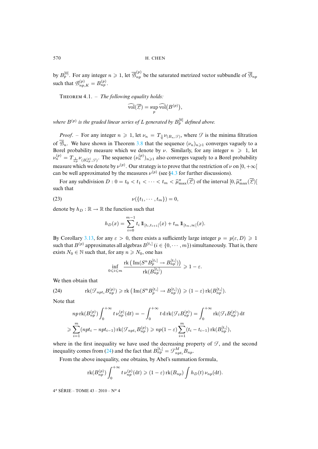<span id="page-16-2"></span>by  $B_p^{[0]}$ . For any integer  $n \geq 1$ , let  $\overline{\mathcal{B}}_{np}^{(p)}$  be the saturated metrized vector subbundle of  $\overline{\mathcal{B}}_{np}$ such that  $\mathcal{B}_{np,K}^{(p)} = B_{np}^{(p)}$ .

THEOREM 4.1. - *The following equality holds:* 

$$
\widehat{\operatorname{vol}}(\overline{\mathscr{L}}) = \sup_p \widehat{\operatorname{vol}}\big(B^{(p)}\big),
$$

where  $B^{(p)}$  is the graded linear series [of](#page-13-2)  $L$  generated by  $B^{[0]}_p$  defined above.

*Proof.* – For any integer  $n \ge 1$ , let  $\nu_n = T_{\frac{1}{n}}\nu_{(B_n, \mathcal{F})}$ , where  $\mathcal{F}$  is the minima filtration of  $\overline{\mathcal{B}}_n$ . We have shown in Theorem 3.8 that the sequence  $(\nu_n)_{n\geq 1}$  converges vaguely to a Borel probability measure which we denote by  $\nu$ . [Sim](#page-20-0)ilarly, for any integer  $n \geq 1$ , let  $\nu_n^{(p)} = T_{\frac{1}{np}} \nu_{(B_{np}^{(p)}, \mathcal{F})}$ . The sequence  $(\nu_n^{(p)})_{n \geq 1}$  also converges vaguely to a Borel probability measure which we denote by  $\nu^{(p)}$ . Our strategy is to prove that the restriction of  $\nu$  on  $[0, +\infty]$ can be well approximated by the measures  $\nu^{(p)}$  (see §4.3 for further discussions).

For any subdivision  $D: 0 = t_0 < t_1 < \cdots < t_m < \widehat{\mu}_{\max}^{\pi}(\overline{\mathcal{L}})$  of the interval  $[0, \widehat{\mu}_{\max}^{\pi}(\overline{\mathcal{L}})]$ such that

(23) 
$$
\nu({t_1,\cdots,t_m})=0,
$$

denote by  $h_D : \mathbb{R} \to \mathbb{R}$  the function such that

<span id="page-16-0"></span> $\overline{0}$ 

<span id="page-16-1"></span>
$$
h_D(x) = \sum_{i=0}^{m-1} t_i \, 1\!\!1_{[t_i, t_{i+1}[}(x) + t_m 1\!\!1_{[t_m, \infty[}(x).
$$

By Corollary 3.13, for any  $\varepsilon > 0$ , there exists a sufficiently large integer  $p = p(\varepsilon, D) \ge 1$ such that  $B^{(p)}$  approximates all algebras  $B^{[t_i]}$   $(i \in \{0, \cdots, m\})$  simultaneously. That is, there exists  $N_0 \in \mathbb{N}$  such that, for any  $n \ge N_0$ , one has

$$
\inf_{\leqslant i\leqslant m}\frac{\mathrm{rk}\,\big(\mathop{\mathrm{Im}}\nolimits(S^n B_p^{[t_i]} \rightarrow B_{np}^{[t_i]})\big)}{\mathrm{rk}(B_{np}^{[t_i]})} \geqslant 1-\varepsilon.
$$

We then obtain that

(24) 
$$
\text{rk}(\mathcal{F}_{npt_i}B_{np}^{(p)})\geqslant\text{rk}\left(\text{Im}(S^nB_p^{[t_i]}\rightarrow B_{np}^{[t_i]})\right)\geqslant(1-\varepsilon)\text{rk}(B_{np}^{[t_i]}).
$$

Note that

$$
nprk(B_{np}^{(p)})\int_0^{+\infty}t\nu_{np}^{(p)}(\mathrm{d}t) = -\int_0^{+\infty}t\,\mathrm{d}\,\mathrm{rk}(\mathcal{F}_tB_{np}^{(p)}) = \int_0^{+\infty}\mathrm{rk}(\mathcal{F}_tB_{np}^{(p)})\,\mathrm{d}t
$$

$$
\geqslant \sum_{i=1}^m(npt_i-npt_{i-1})\,\mathrm{rk}(\mathcal{F}_{npt_i}B_{np}^{(p)}) \geqslant np(1-\varepsilon)\sum_{i=1}^m(t_i-t_{i-1})\,\mathrm{rk}(B_{np}^{[t_i]}),
$$

where in the first inequality we have used the decreasing property of  $\mathcal{F}$ , and the second inequality comes from (24) and the fact that  $B_{np}^{[t_i]} = \mathcal{F}_{npt_i}^M B_{np}$ .

From the above inequality, one obtains, by Abel's summation formula,

$$
\operatorname{rk}(B_{np}^{(p)})\int_0^{+\infty}t\,\nu_{np}^{(p)}(\mathrm{d} t)\geqslant (1-\varepsilon)\operatorname{rk}(B_{np})\int h_D(t)\,\nu_{np}(\mathrm{d} t).
$$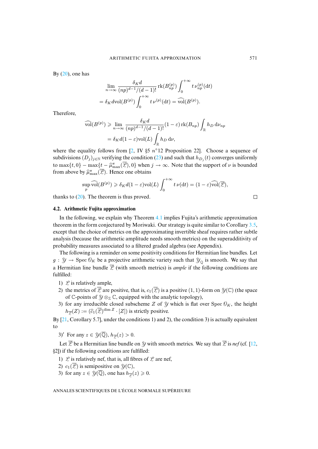By  $(20)$ , one has

$$
\lim_{n \to \infty} \frac{\delta_K d}{(np)^{d-1}/(d-1)!} \operatorname{rk}(B_{np}^{(p)}) \int_0^{+\infty} t \nu_{np}^{(p)}(\mathrm{d}t) \n= \delta_K d\mathrm{vol}(B^{(p)}) \int_0^{+\infty} t \nu^{(p)}(\mathrm{d}t) = \widehat{\mathrm{vol}}(B^{(p)}).
$$

Therefore,

$$
\widehat{\text{vol}}(B^{(p)}) \ge \lim_{n \to \infty} \frac{\delta_K d}{(np)^{d-1}/(d-1)!} (1-\varepsilon) \operatorname{rk}(B_{np}) \int_{\mathbb{R}} h_D \, \mathrm{d}\nu_{np}
$$

$$
= \delta_K d(1-\varepsilon) \text{vol}(L) \int_{\mathbb{R}} h_D \, \mathrm{d}\nu,
$$

where the equality follows from  $[2, IV \$  5  $n^{\circ}12$  Proposition 22]. Choose a sequence of subdivisions  $(D_j)_{j \in \mathbb{N}}$  verifying the condition (23) and such that  $h_{D_j}(t)$  converges uniformly to max $\{t, 0\}$  – max $\{t - \hat{\mu}_{\max}^{\pi}(\overline{\mathscr{L}}), 0\}$  when  $j \to \infty$ . Note that the support of  $\nu$  is bounded from abov[e by](#page-13-0)  $\widehat{\mu}_{\max}^{\pi}(\overline{\mathscr{L}})$ . Hence one obtains

$$
\sup_{p} \widehat{\text{vol}}(B^{(p)}) \geq \delta_K d(1-\varepsilon) \text{vol}(L) \int_0^{+\infty} t \, \nu(dt) = (1-\varepsilon) \widehat{\text{vol}}(\overline{\mathcal{L}}),
$$

thanks to  $(20)$ . The theorem is thus proved.

### **4.2. Arithmetic Fujita approximation**

In the following, we explain why Theorem 4.1 implies Fujita's arithmetic approximation theorem in the form conjectured by Moriwaki. Our strategy is quite similar to Corollary 3.5, except that the choice of metrics on the approximating invertible sheaf requires rather subtle analysis (because the arithmetic amplitude needs smooth metrics) on the superadditivity of probability measures associated to a filtered graded algebra (see Appendix).

The following is a reminder on some positivity conditions for Hermitian line bundles. Let  $g: \mathcal{Y} \to \text{Spec } \mathcal{O}_K$  be a projective arithmetic variety such that  $\mathcal{Y}_0$  is smooth. We say that a Hermitian line bundle  $\overline{\mathcal{L}}$  (with smooth metrics) is *ample* if the following conditions are fulfilled:

- 1)  $\mathcal{L}$  is relatively ample,
- 2) the metrics of  $\overline{\mathcal{L}}$  are positive, that is,  $c_1(\overline{\mathcal{L}})$  is a positive (1, 1)-form on  $\mathcal{Y}(\mathbb{C})$  (the space [o](#page-24-0)f C-points of  $\mathcal{Y} \otimes_{\mathbb{Z}} \mathbb{C}$ , equipped with the analytic topology),
- 3) for any irreducible closed subscheme Z of  $\mathcal Y$  which is flat over Spec  $\mathcal O_K$ , the height  $h_{\overline{Z}}(Z) := (\widehat{c}_1(\overline{Z})^{\dim Z} \cdot [Z])$  is strictly positive.

By [21, Corollary 5.7], under the conditions 1) and 2), the condition 3) is actually equiva[lent](#page-23-8) to

3)' For any  $z \in \mathcal{Y}(\overline{\mathbb{Q}}), h_{\overline{\mathcal{Z}}}(z) > 0$ .

Let  $\overline{\mathcal{L}}$  be a Hermitian line bundle on  $\mathcal{Y}$  with smooth metrics. We say that  $\overline{\mathcal{L}}$  is *nef* (cf. [12, §2]) if the following conditions are fulfilled:

- <span id="page-17-0"></span>1)  $\mathcal L$  is relatively nef, that is, all fibres of  $\mathcal L$  are nef,
- 2)  $c_1(\overline{\mathscr{L}})$  is semipositive on  $\mathscr{Y}(\mathbb{C}),$
- 3) for any  $z \in \mathcal{Y}(\overline{\mathbb{Q}})$ , one has  $h_{\overline{\mathcal{Z}}}(z) \geq 0$ .

$$
\qquad \qquad \Box
$$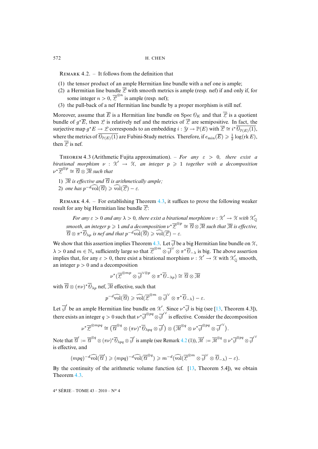REMARK 4.2. – It follows from the definition that

- (1) the tensor product of an ample Hermitian line bundle with a nef one is ample;
- (2) a Hermitian line bundle  $\overline{Z}$  with smooth metrics is ample (resp. nef) if and only if, for some integer  $n > 0$ ,  $\overline{\mathcal{L}}^{\otimes n}$  is ample (resp. nef);
- (3) the pull-back of a nef Hermitian line bundle by a proper morphism is still nef.

<span id="page-18-0"></span>Moreover, assume that  $\overline{E}$  is a Hermitian line bundle on Spec  $\mathcal{O}_K$  and that  $\overline{Z}$  is a quotient bundle of  $g^* \overline{E}$ , then  $\mathcal L$  is relatively nef and the metrics of  $\overline{\mathcal L}$  are semipositive. In fact, the surjective map  $g^*E \to \mathscr{L}$  corresponds to an embedding  $i: \mathscr{Y} \to \mathbb{P}(E)$  with  $\overline{\mathscr{L}} \cong i^* \overline{\mathscr{O}_{\mathbb{P}(E)}(1)}$ , where the metrics of  $\overline{\mathcal{O}_{\mathbb{P}(E)}(1)}$  are Fubini-Study metrics. Therefore, if  $e_{\min}(\overline{E}) \geqslant \frac{1}{2}\log(\mathop{\mathrm{rk}} E),$ then  $\overline{Z}$  is nef.

THEOREM 4.3 (Arithmetic Fujita approximation). – *For any*  $\varepsilon > 0$ , *there exist a birational morphism*  $\nu$  :  $\mathcal{X}' \rightarrow \mathcal{X}$ , an integer  $p \geqslant 1$  together with a decomposition  $\nu^*\overline{\mathcal{L}}^{\otimes p} \cong \overline{\mathcal{U}} \otimes \overline{\mathcal{M}}$  such that

- 1)  $\overline{\mathcal{M}}$  *is effective and*  $\overline{\mathcal{A}}$  *is arithmetically am[ple;](#page-18-0)*
- 2) *one has*  $p^{-d}\widehat{\mathrm{vol}}(\overline{\mathcal{A}}) \geq \widehat{\mathrm{vol}}(\overline{\mathcal{L}}) \varepsilon$ .

REMARK 4.4. – For establishing Theorem 4.3, it suffices to prove the following weaker result for any big Hermitian line bundle  $\overline{\mathcal{L}}$ :

*For any*  $\varepsilon > 0$  *and any*  $\lambda > 0$ , *there [exist](#page-18-0) a birational morphism*  $\nu : \mathcal{X}' \to \mathcal{X}$  with  $\mathcal{X}'_{\mathbb{Q}}$ smooth, an integer  $p\geqslant 1$  and a decomposition  $\nu^*\overline{\mathcal{L}}^{\otimes p}\cong\overline{\mathcal{U}}\otimes\overline{\mathcal{M}}$  such that  $\overline{\mathcal{M}}$  is effective,  $\overline{\mathscr{C}} \otimes \pi^* \overline{\mathscr{O}}_{\lambda p}$  is nef and that  $p^{-d} \widehat{\text{vol}}(\overline{\mathscr{C}}) \geq \widehat{\text{vol}}(\overline{\mathscr{L}}) - \varepsilon.$ 

We show that this assertion implies Theorem 4.3. Let  $\overline{J}$  be a big Hermitian line bundle on  $\chi$ ,  $\lambda > 0$  and  $m \in \mathbb{N}_{*}$  sufficiently large so that  $\overline{\mathcal{L}}^{\otimes m} \otimes \overline{\mathcal{J}}^{\vee} \otimes \pi^* \overline{\mathcal{O}}_{-\lambda}$  is big. The above assertion implies that, for any  $\varepsilon > 0$ , there exist a birational morphism  $\nu : \mathcal{X}' \to \mathcal{X}$  with  $\mathcal{X}'_Q$  smooth, an integer  $p > 0$  and a decomposition

$$
\nu^*(\overline{{\mathcal{L}}}^{\otimes mp}\otimes\overline{\mathcal{J}}^{\vee\otimes p}\otimes\pi^*\overline{\theta}_{-\lambda p})\cong\overline{{\mathcal{U}}}\otimes\overline{{\mathcal{M}}}
$$

with  $\overline{\mathscr{C}} \otimes (\pi \nu)^* \overline{\mathscr{O}}_{\lambda p}$  nef,  $\overline{\mathscr{M}}$  effective, such that

$$
p^{-d}\widehat{\mathrm{vol}}(\overline{\mathcal{C}}) \geqslant \widehat{\mathrm{vol}}(\overline{\mathcal{L}}^{\otimes m}\otimes \overline{\beta}^{\vee}\otimes \pi^*\overline{\theta}_{-\lambda})-\varepsilon.
$$

Let  $\overline{\mathcal{J}}'$  be an ample Hermitian line bundle on  $\mathcal{X}'$ . Since  $\nu^*\overline{\mathcal{J}}$  is big (see [13, Theorem 4.3]), there exists an integer  $q > 0$  such that  $\nu^* \overline{\mathcal{J}}^{\otimes pq} \otimes \overline{\mathcal{J}}^{\vee}$  is eff[ectiv](#page-17-0)e. Consider the decomposition

$$
\nu^*\overline{\mathcal{L}}^{\otimes mpq} \cong (\overline{\mathcal{U}}^{\otimes q} \otimes (\pi\nu)^*\overline{\theta}_{\lambda pq} \otimes \overline{\phi}') \otimes (\overline{\mathcal{M}}^{\otimes q} \otimes \nu^*\overline{\phi}^{\otimes pq} \otimes \overline{\phi}'').
$$

Note that  $\overline{\mathcal{U}}' := \overline{\mathcal{U}}^{\otimes q} \otimes (\pi \nu)^* \overline{\mathcal{O}}_{\lambda pq} \otimes \overline{\mathcal{J}}'$  is ample (see Remark 4.2 (1)),  $\overline{\mathcal{M}}' := \overline{\mathcal{M}}^{\otimes q} \otimes \nu^* \overline{\mathcal{J}}^{\otimes pq} \otimes \overline{\mathcal{J}}'^{\vee}$ is effective, and

$$
(mpq)^{-d}\widehat{\mathrm{vol}}(\overline{\mathcal{U}}')\geqslant (mpq)^{-d}\widehat{\mathrm{vol}}(\overline{\mathcal{U}}^{\otimes q})\geqslant m^{-d}(\widehat{\mathrm{vol}}(\overline{\mathcal{L}}^{\otimes m}\otimes\overline{\mathcal{J}}^{\vee}\otimes\overline{\theta}_{-\lambda})-\varepsilon).
$$

By the continuity of the arithmetic volume function (cf.  $[13,$  Theorem 5.4]), we obtain Theorem 4.3.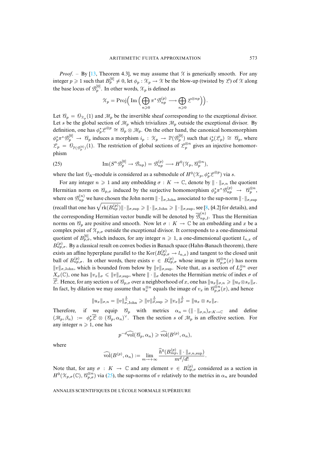*Proof.* – By [13, Theorem 4.3], we may assume that  $\chi$  is generically smooth. For any integer  $p \ge 1$  such that  $B_p^{[0]} \ne 0$ , let  $\phi_p : \mathcal{X}_p \to \mathcal{X}$  be the blow-up (twisted by  $\mathcal{L}$ ) of  $\mathcal X$  along the base locus of  $\mathcal{B}_p^{[0]}$ . In other words,  $\mathcal{X}_p$  is defined as

<span id="page-19-0"></span>
$$
\mathcal{X}_p = \mathrm{Proj}\Big( \operatorname{Im} \Big( \bigoplus_{n \geqslant 0} \pi^* \mathcal{B}^{(p)}_{np} \longrightarrow \bigoplus_{n \geqslant 0} \mathcal{L}^{\otimes np} \Big) \Big).
$$

Let  $\mathcal{U}_p = \mathcal{O}_{\mathcal{X}_p}(1)$  and  $\mathcal{M}_p$  be the invertible sheaf corresponding to the exceptional divisor. Let s be the global section of  $\mathcal{M}_p$  which trivializes  $\mathcal{M}_p$  outside the exceptional divisor. By definition, one has  $\phi_p^* \mathcal{L}^{\otimes p} \cong \mathcal{C}_p \otimes \mathcal{M}_p$ . On the other hand, the canonical homomorphism  $\phi_p^* \pi^* \mathcal{B}_p^{[0]} \to \mathcal{C}_p$  induces a morphism  $i_p : \mathcal{X}_p \to \mathbb{P}(\mathcal{B}_p^{[0]})$  such that  $i_p^*(\mathcal{L}_p) \cong \mathcal{C}_p$ , where  $\mathcal{L}_p = \hat{\theta}_{\mathbb{P}(\mathcal{B}_p^{[0]})}(1)$ . The restriction of global sections of  $\mathcal{L}_p^{\otimes n}$  gives an injective homomorphism

(25) 
$$
\operatorname{Im}(S^n \mathcal{B}_p^{[0]} \to \mathcal{B}_{np}) = \mathcal{B}_{np}^{(p)} \longrightarrow H^0(\mathcal{X}_p, \mathcal{B}_p^{\otimes n}),
$$

where the last  $\mathcal{O}_K$ -module is considered as a submodule of  $H^0(\mathcal{X}_p, \phi_p^*\mathcal{L}^{\otimes p})$  via s.

For any integer  $n \geq 1$  and any embedding  $\sigma : K \to \mathbb{C}$ , denote by  $\|\cdot\|_{\sigma,n}$  the quotient Her[m](#page-23-17)itian norm on  $\mathcal{C}_{p,\sigma}$  induced by the surjective homomorphism  $\phi_p^*\pi^*\mathcal{B}_{np}^{(p)} \to \mathcal{C}_{p}^{\otimes n}$ , where on  $\mathcal{B}_{np}^{(n)}$  we have chosen the John norm  $\|\cdot\|_{\sigma,\text{John}}$  associated to the sup-norm  $\|\cdot\|_{\sigma,\text{sup}}$ (recall that one has  $\sqrt{\mathrm{rk}(B_{np}^{(p)})} \|\cdot\|_{\sigma,\sup} \geqslant \|\cdot\|_{\sigma,\mathrm{John}} \geqslant \|\cdot\|_{\sigma,\sup}$ , see [8, §4.2] for details), and the corresponding Hermitian vector bundle will be denoted by  $\overline{\mathcal{B}}_{np}^{(n)}$  $\sum_{np,J}$ . Thus the Hermitian norms on  $\mathcal{C}_p$  are positive and smooth. Now let  $\sigma : K \to \mathbb{C}$  be an embedding and x be a complex point of  $\mathcal{X}_{p,\sigma}$  outside the exceptional divisor. It corresponds to a one-dimensional quotient of  $B_{p,\sigma}^{[0]}$ , which induces, for any integer  $n \geq 1$ , a one-dimensional quotient  $l_{n,x}$  of  $B_{np,\sigma}^{(p)}$ . By a classical result on convex bodies in Banach space (Hahn-Banach theorem), there exists an affine hyperplane parallel to the  $\text{Ker}(B_{np,\sigma}^{(p)} \to l_{n,x})$  and tangent to the closed unit ball of  $B_{np,\sigma}^{(p)}$ . In other words, there exists  $v \in B_{np,\sigma}^{(p)}$  whose image in  $\mathcal{C}_{p,\sigma}^{\otimes n}(x)$  has norm  $||v||_{\sigma,\text{John}}$ , which is bounded from below by  $||v||_{\sigma,\text{sup}}$ . Note that, as a section of  $L^{\otimes n}_{\sigma}$  over  $X_{\sigma}(\mathbb{C})$ , one has  $||v_x||_{\sigma} \le ||v||_{\sigma}$ , where  $|| \cdot ||_{\sigma}$  denotes the Hermitian metric of index  $\sigma$  of  $\overline{L}$ . Hence, for any section u of  $\mathcal{C}_{p,\sigma}$  over a neighborhood of x, one has  $||u_x||_{\sigma,n} \ge ||u_x \otimes s_x||_{\sigma}$ . In fact, by dilation we may assume that  $u_x^{\otimes n}$  equals the image of  $v_x$  in  $\mathcal{C}_{p,\sigma}^{\otimes n}(x)$ , and hence

$$
||u_x||_{\sigma,n} = ||v||_{\sigma,\mathrm{John}}^{\frac{1}{n}} \ge ||v||_{\sigma,\sup}^{\frac{1}{n}} \ge ||v_x||_{\sigma}^{\frac{1}{n}} = ||u_x \otimes s_x||_{\sigma}.
$$

Therefore, if we equip  $\mathcal{C}_p$  with metrics  $\alpha_n = (\|\cdot\|_{\sigma,n})_{\sigma:K\to\mathbb{C}}$  and define  $(\mathcal{M}_p, \beta_n) := \phi_p^* \overline{\mathcal{L}} \otimes (\mathcal{C}_p, \alpha_n)^\vee$ . Then the section s of  $\mathcal{M}_p$  is an effective section. For any integer  $n \geq 1$ , one has

$$
p^{-d}\widehat{\mathrm{vol}}(\mathcal{C}_p,\alpha_n)\geqslant \widehat{\mathrm{vol}}(B^{(p)},\alpha_n),
$$

where

$$
\widehat{\mathrm{vol}}(B^{(p)},\alpha_n):=\lim_{m\to+\infty}\frac{\widehat{h}^0(B_{mp}^{(p)},\|\cdot\|_{\sigma,n,\mathrm{sup}})}{m^d/d!}.
$$

Note that, for any  $\sigma : K \to \mathbb{C}$  and any element  $v \in B_{np,\sigma}^{(p)}$  considered as a section in  $H^0(\mathcal{X}_{p,\sigma}(\mathbb{C}), \mathcal{C}_{p,\sigma}^{\otimes n})$  via (25), the sup-norms of v relatively to the metrics in  $\alpha_n$  are bounded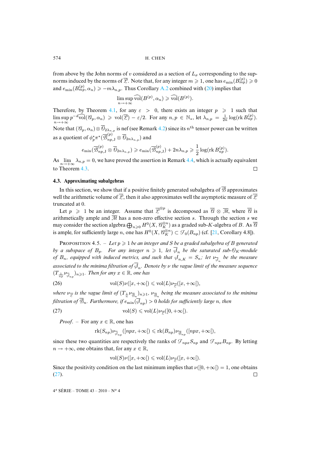from above by the John norms of v considered as a section of  $L_{\sigma}$  corresponding to the supnorms induced by the norms of  $\overline{Z}.$  Note that, for any integer  $m\geqslant 1,$  one has  $e_{\min}(B_{mp}^{(p)})\geqslant 0$ and  $e_{\min}(B_{mp}^{(p)}, \alpha_n) \geq -m\lambda_{n,p}$ . Thus Corollary A.2 combined with (20) implies that

> $\limsup_{n\to+\infty} \widehat{\text{vol}}(B^{(p)},\alpha_n)\geqslant \widehat{\text{vol}}(B^{(p)}).$  $n\rightarrow+\infty$

Therefore, by Theorem 4.1, for any  $\varepsilon > 0$ [, th](#page-17-0)ere exists an integer  $p \ge 1$  such that  $\limsup_{n \to +\infty} p^{-d} \widehat{\text{vol}}(\mathcal{C}_p, \alpha_n) \geqslant \text{vol}(\overline{\mathcal{L}}) - \varepsilon/2.$  For any  $n, p \in \mathbb{N}_*$ , let  $\lambda_{n,p} = \frac{1}{2n} \log(\text{rk } B_{np}^{(p)})$ .  $n\rightarrow+\infty$ Note that  $(\mathcal{C}_p, \alpha_n) \otimes \mathcal{O}_{2\lambda_{n,p}}$  is nef (see Remark 4.2) since its  $n^{\text{th}}$  tensor power can be written as a quotient of  $\phi_p^*\pi^*(\overline{\mathcal{B}}_{np,\mathrm{J}}^{(p)}\otimes\overline{\theta}_{2n\lambda_{n,p}})$  and

$$
e_{\min}(\overline{\mathcal{B}}^{(p)}_{np,\mathbf{J}}\otimes\overline{\theta}_{2n\lambda_{n,\,p}})\geqslant e_{\min}(\overline{\mathcal{B}}^{(p)}_{np,\mathbf{J}})+2n\lambda_{n,\,p}\geqslant \frac{1}{2}\log(\mathop{\mathrm{rk}} B^{(p)}_{np}).
$$

<span id="page-20-0"></span>As  $\lim_{n\to+\infty}\lambda_{n,p}=0$ , we have proved the assertion in Remark 4.4, which is actually equivalent to Theorem 4.3.  $\Box$ 

### **4.3. Approximating subalgebras**

In this section, we show that if a positive finitely generated subalgebra of  $\overline{B}$  approximates well the arithmetic volume of  $\overline{Z}$ , then it also approximates well the asymptotic measure of  $\overline{Z}$ truncated at 0.

Let  $p \geq 1$  be an integer. [A](#page-24-0)ssume that  $\overline{Z}^{\otimes p}$  is decomposed as  $\overline{\mathscr{C}} \otimes \overline{\mathscr{M}}$ , where  $\overline{\mathscr{C}}$  is arithmetically ample and  $\overline{\mathcal{M}}$  has a non-zero effective section s. Through the section s we may consider the section algebra  $\bigoplus_{n\geqslant 0}H^0(X,\mathscr{C}_K^{\otimes n})$  as a graded sub-K-algebra of  $B.$  As  $\overline{\mathscr{C}}$ is ample, for sufficiently large *n*, one has  $H^0(X, \mathcal{C}_K^{\otimes n}) \subset \mathcal{F}_0(B_{np})$  (cf. [21, Corollary 4.8]).

PROPOSITION 4.5. – Let  $p \geq 1$  be an integer and S be a graded subalgebra of B generated *by a subspace of*  $B_p$ *. For any integer*  $n \geqslant 1$ , let  $\overline{\phi}_n$  be the saturated sub- $\overline{\theta}_K$ -module *of*  $B_n$ , equipped with induced metrics, and such that  $\oint_{n,K} = S_n$ ; let  $\nu_{\overline{\phi}_n}$  be the measure associated to the minima filtration of  $\mathcal{A}_n.$  Denote by  $\nu$  the vague limit of the measure sequence  $(T_{\frac{1}{np}}\nu_{\overline{\phi}_{np}})_{n\geqslant 1}$ *. Then for any*  $x\in\mathbb{R}$ *, one has* 

(26) 
$$
\text{vol}(S)\nu([x,+\infty[)\leq \text{vol}(L)\nu_{\overline{\mathscr{L}}}([x,+\infty[),
$$

where  $\nu_{\overline{Z}}$  is the vague limit of  $(T_{\frac{1}{n}}\nu_{\overline{\mathcal{B}}_n})_{n\geqslant1}$ ,  $\nu_{\overline{\mathcal{B}}_n}$  being the measure associated to the minima *filtration of*  $\overline{\mathcal{B}}_n$ *. Furthermore, if*  $e_{\min}(\overline{\mathcal{A}}_{nn}) > 0$  *holds for sufficiently large n, then* 

(27) 
$$
\text{vol}(S) \leqslant \text{vol}(L)\nu_{\overline{\mathscr{L}}}([0,+\infty[).
$$

*Proof.* – For any  $x \in \mathbb{R}$ , one has

<span id="page-20-1"></span>
$$
\operatorname{rk}(S_{np})\nu_{\overline{\phi}_{np}}([npx,+\infty[) \leqslant \operatorname{rk}(B_{np})\nu_{\overline{\phi}_{np}}([npx,+\infty[),
$$

since these two quantities are respectively the ranks of  $\mathcal{F}_{npx}S_{np}$  and  $\mathcal{F}_{npx}B_{np}$ . By letting  $n \to +\infty$ , one obtains that, for any  $x \in \mathbb{R}$ ,

$$
\text{vol}(S)\nu([x,+\infty[)\leqslant \text{vol}(L)\nu_{\overline{\mathcal{L}}}([x,+\infty[).
$$

Since the positivity condition on the last minimum implies that  $\nu([0, +\infty]) = 1$ , one obtains (27).  $\Box$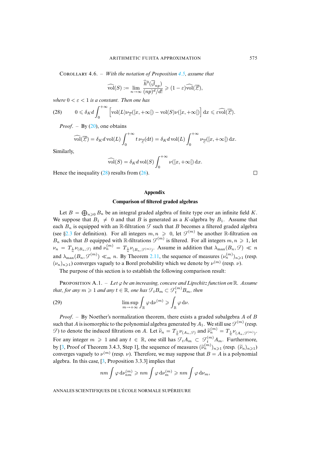COROLLARY 4.6. – *With the notation of Proposition 4.5, assume that* 

$$
\widehat{\mathrm{vol}}(S):=\lim_{n\to\infty}\frac{\widehat{h}^0(\overline{\phi}_{np})}{(np)^d/d!}\geqslant(1-\varepsilon)\widehat{\mathrm{vol}}(\overline{\mathcal{L}}),
$$

*where*  $0 < \varepsilon < 1$  *is a constant. Then one has* 

(28) 
$$
0 \leq \delta_K d \int_0^{+\infty} \left[ \text{vol}(L) \nu_{\overline{\mathscr{L}}}([x, +\infty[) - \text{vol}(S) \nu([x, +\infty[) \right] dx \leq \widehat{\varepsilon \text{vol}}(\overline{\mathscr{L}}).
$$

*Proof.* – By (20), one obtains

$$
\widehat{\text{vol}}(\overline{\mathcal{L}}) = \delta_K d \,\text{vol}(L) \int_0^{+\infty} t \,\nu_{\overline{\mathcal{L}}}(dt) = \delta_K d \,\text{vol}(L) \int_0^{+\infty} \nu_{\overline{\mathcal{L}}}([x, +\infty[) \, dx).
$$

Similarly,

$$
\widehat{\text{vol}}(S) = \delta_K d \,\text{vol}(S) \int_0^{+\infty} \nu([x, +\infty[) \,\mathrm{d}x).
$$

Hence the inequality  $(28)$  results from  $(26)$ .

 $\Box$ 

### **Appendix**

# **Comparison of filtered graded algebras**

Let  $B = \bigoplus_{n \geq 0} B_n$  $B = \bigoplus_{n \geq 0} B_n$  be an integral graded algebra of finite type over an infinite field K. We suppose that  $B_1 \neq 0$  and that B is generated as a K-algebra by  $B_1$ . Assume that each  $B_n$  is equipped with an R-filtration  $\mathcal F$  such that B becomes a filtered graded algebra (see §2.3 for definition). For all integers  $m, n \ge 0$  $m, n \ge 0$ , let  $\mathcal{F}^{(m)}$  be another R-filtration on  $B_n$  such that B equipped with R-filtrations  $\mathcal{F}^{(m)}$  is filtered. For all integers  $m, n \geq 1$ , let  $\nu_n = T_{\frac{1}{n}}\nu_{(B_n, \mathcal{F})}$  and  $\nu_n^{(m)} = T_{\frac{1}{n}}\nu_{(B_n, \mathcal{F}^{(m)})}$ . Assume in addition that  $\lambda_{\max}(B_n, \mathcal{F}) \ll n$ and  $\lambda_{\max}(B_n, \mathcal{F}^{(m)}) \ll_m n$ . By Theorem 2.11, the sequence of measures  $(\nu_n^{(m)})_{n \geq 1}$  (resp.  $(\nu_n)_{n\geq 1}$ ) converges vaguely to a Borel probability which we denote by  $\nu^{(m)}$  (resp.  $\nu$ ).

<span id="page-21-1"></span><span id="page-21-0"></span>The purpose of this section is to establish the following comparison result:

PROPOSITION A.1. – Let  $\varphi$  *be an increasing, concave and Lipschitz function on* R. Assume that, for any  $m\geqslant 1$  and any  $t\in\mathbb R$ , one has  $\mathcal{F}_tB_m\subset \mathcal{F}_t^{(m)}B_m$ , then

(29) 
$$
\limsup_{m \to +\infty} \int_{\mathbb{R}} \varphi \, \mathrm{d} \nu^{(m)} \geqslant \int_{\mathbb{R}} \varphi \, \mathrm{d} \nu.
$$

*Proof*. – By Noether's normalization theorem, there exists a graded subalgebra A of B suc[h t](#page-23-11)hat  $A$  is isomorphic to the polynomial algebra generated by  $A_1.$  We still use  $\mathcal{F}^{(m)}$  (resp.  $\mathcal{F}$ ) to denote the induced filtrations on A. Let  $\widetilde{\nu}_n = T_{\frac{1}{n}} \nu_{(A_n, \mathcal{F})}$  and  $\widetilde{\nu}_n^{(m)} = T_{\frac{1}{n}} \nu_{(A_n, \mathcal{F}^{(m)})}$ . For any integer  $m \geq 1$  $m \geq 1$  and any  $t \in \mathbb{R}$ , one still has  $\mathcal{F}_t A_m \subset \mathcal{F}_t^{(m)} A_m$ . Furthermore, by [3, Proof of Theorem 3.4.3, Step 1], the sequence of measures  $(\tilde{\nu}_n^{(m)})_{n\geq 1}$  (resp.  $(\tilde{\nu}_n)_{n\geq 1}$ ) converges vaguely to  $\nu^{(m)}$  (resp.  $\nu$ ). Therefore, we may suppose that  $B = A$  is a polynomial algebra. In this case, [3, Proposition 3.3.3] implies that

$$
nm \int \varphi \, \mathrm{d}\nu_{nm}^{(m)} \geqslant nm \int \varphi \, \mathrm{d}\nu_m^{(m)} \geqslant nm \int \varphi \, \mathrm{d}\nu_m,
$$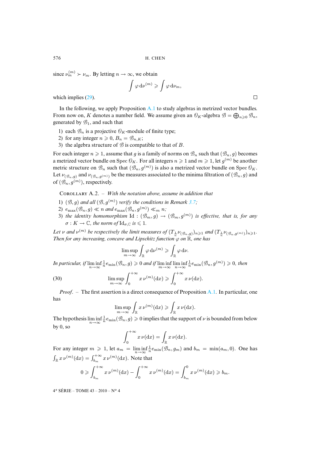since  $\nu_m^{(m)} \succ \nu_m$  $\nu_m^{(m)} \succ \nu_m$  $\nu_m^{(m)} \succ \nu_m$ . By letting  $n \to \infty$ , we obtain

$$
\int \varphi \, \mathrm{d}\nu^{(m)} \geqslant \int \varphi \, \mathrm{d}\nu_m,
$$

which implies  $(29)$ .

In the following, we apply Proposition A.1 to study algebras in metrized vector bundles. From now on, K denotes a number field. We assume given an  $\mathcal{O}_K$ -algebra  $\mathcal{B} = \bigoplus_{n \geq 0} \mathcal{B}_n$ , generated by  $\mathcal{B}_1$ , and such that

- 1) each  $\mathcal{B}_n$  is a projective  $\mathcal{O}_K$ -module of finite type;
- 2) for any integer  $n \geq 0$ ,  $B_n = \mathcal{B}_{n,K}$ ;
- 3) the algebra structure of  $\hat{\beta}$  is compatible to that of B.

For each integer  $n \geq 1$ , assume that g is a family of norms on  $\mathcal{B}_n$  such that  $(\mathcal{B}_n, g)$  becomes a metrized vector bundle on Spec  $\mathcal{O}_K$ . For all integers  $n \geqslant 1$  and  $m \geqslant 1$ , let  $g^{(m)}$  be another metric structure on  $\mathcal{B}_n$  such that  $(\mathcal{B}_n, g^{(m)})$  is also a metrized vector bundle on Spec  $\mathcal{O}_K$ . Let  $\nu_{(\mathcal{B}_n,g)}$  and  $\nu_{(\mathcal{B}_n,g^{(m)})}$  be the measures associated to the minima filtration of  $(\mathcal{B}_n,g)$  and of  $(\mathcal{B}_n, g^{(m)})$ , respectively.

COROLLARY A.2. – *With the notation above, assume in addition that* 

- 1)  $(\mathcal{B}, g)$  and all  $(\mathcal{B}, g^{(m)})$  verify the conditions in Remark 3.7;
- 2)  $e_{\max}(\mathcal{B}_n, g) \ll n$  and  $e_{\max}(\mathcal{B}_n, g^{(m)}) \ll_m n$ ;
- 3) the identity homomorphism  $Id$  :  $(\mathcal{B}_m, g) \to (\mathcal{B}_m, g^{(m)})$  is effective, that is, for any  $\sigma: K \to \mathbb{C}$ *, the norm of*  $\mathrm{Id}_{\sigma, \mathbb{C}}$  *is*  $\leq 1$ *.*

Let  $\nu$  and  $\nu^{(m)}$  be respectively the limit measures of  $(T_{\frac{1}{n}}\nu_{(\mathcal{B}_n,g)})_{n\geqslant1}$  and  $(T_{\frac{1}{n}}\nu_{(\mathcal{B}_n,g^{(m)})})_{n\geqslant1}$ . *Then for any increasing, concave and Lipschitz function*  $\varphi$  *on*  $\mathbb{R}$ *, one has* 

$$
\limsup_{m\to\infty}\int_{\mathbb{R}}\varphi\,d\nu^{(m)}\geqslant\int_{\mathbb{R}}\varphi\,d\nu.
$$

*In particular, if*  $\liminf_{n\to\infty}$  $\frac{1}{n}e_{\min}(\mathcal{B}_n, g) \geqslant 0$  and if  $\liminf_{m \to \infty} \liminf_{n \to \infty}$  $\frac{1}{n}e_{\min}(\mathcal{B}_n,g^{(m)})\geqslant 0$ , then

(30) 
$$
\limsup_{m \to \infty} \int_0^{+\infty} x \, \nu^{(m)}(\mathrm{d}x) \geqslant \int_0^{+\infty} x \, \nu(\mathrm{d}x).
$$

*Proof*. – The first assertion is a direct consequence of Proposition A.1. In particular, one has

$$
\limsup_{m\to\infty}\int_{\mathbb{R}}x\,\nu^{(m)}(\textup{d} x)\geqslant \int_{\mathbb{R}}x\,\nu(\textup{d} x).
$$

The hypothesis  $\liminf_{n\to\infty}$  $\frac{1}{n}e_{\min}(\mathcal{B}_n, g) \geqslant 0$  implies that the support of  $\nu$  is bounded from below by 0, so

$$
\int_0^{+\infty} x \, \nu(\mathrm{d}x) = \int_{\mathbb{R}} x \, \nu(\mathrm{d}x).
$$

For any integer  $m \geq 1$ , let  $a_m = \liminf_{n \to \infty}$  $\frac{1}{n}e_{\min}(\mathcal{B}_n, g_m)$  and  $b_m = \min(a_m, 0)$ . One has  $\int_{\mathbb{R}} x \, \nu^{(m)}(\text{d}x) = \int_{b_m}^{+\infty} x \, \nu^{(m)}(\text{d}x)$ . Note that

$$
0 \geqslant \int_{b_m}^{+\infty} x \, \nu^{(m)}(\mathrm{d}x) - \int_0^{+\infty} x \, \nu^{(m)}(\mathrm{d}x) = \int_{b_m}^{0} x \, \nu^{(m)}(\mathrm{d}x) \geqslant b_m.
$$

4 <sup>e</sup> SÉRIE – TOME 43 – 2010 – N<sup>o</sup> 4

 $\Box$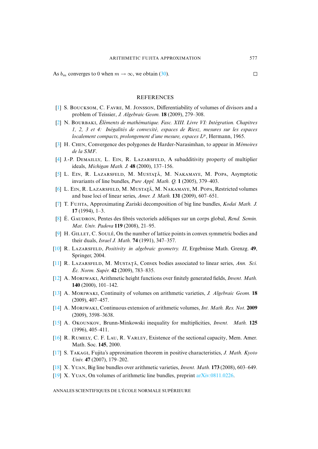<span id="page-23-4"></span>As  $b_m$  converges to 0 when  $m \to \infty$ , we obtain (30).

## **REFERENCES**

- <span id="page-23-16"></span>[1] S. BOUCKSOM, C. FAVRE, M. JONSSON, Differentiability of volumes of divisors and a problem of Teissier, *J. Algebraic Geom.* **18** (2009), 279–308.
- <span id="page-23-11"></span>[\[2\]](http://smf.emath.fr/Publications/AnnalesENS/4_43/html/ens_ann-sc_43_4.html#3) N. B, *Éléments de mathématique. Fasc. XIII. Livre VI: Intégration. Chapitres 1, 2, 3 et 4: Inégalités de convexité, espaces de Riesz, mesures sur les espaces* localement compacts, prolongement d'une mesure, espaces L<sup>p</sup>, Hermann, 1965.
- <span id="page-23-5"></span><span id="page-23-1"></span>[3] H. CHEN, Convergence des polygones de Harder-Narasimhan, to appear in *Mémoires de la SMF*.
- <span id="page-23-6"></span>[4] J.-P. DEMAILLY, L. EIN, R. LAZARSFELD, A subadditivity property of multiplier ideals, *Michigan Math. J.* **48** (2000), 137–156.
- [5] L. EIN, R. LAZARSFELD, M. MUSTAȚĂ, M. NAKAMAYE, M. POPA, Asymptotic invariants of line bundles, *Pure Appl. Math. Q.* **1** (2005), 379–403.
- <span id="page-23-0"></span>[6] L. EIN, R. LAZARSFELD, M. MUSTAȚĂ, M. NAKAMAYE, M. POPA, Restricted volumes and base loci of linear series, *Amer. J. Math.* **131** (2009), 607–651.
- <span id="page-23-17"></span><span id="page-23-14"></span>[7] T. FUJITA, Approximating Zariski decomposition of big line bundles, *Kodai Math. J.* **17** (1994), 1–3.
- <span id="page-23-3"></span>[8] É. G, Pentes des fibrés vectoriels adéliques sur un corps global, *Rend. Semin. Mat. Univ. Padova* **119** (2008), 21–95.
- <span id="page-23-7"></span>[9]  $H.$  GILLET, C. SOULÉ, On the number of lattice points in convex symmetric bodies and their duals, *Israel J. Math.* **74** (1991), 347–357.
- <span id="page-23-8"></span>[10] R. L, *Positivity in algebraic geometry. II*, Ergebnisse Math. Grenzg. **49**, Springer, 2004.
- <span id="page-23-9"></span>[11] R. LAZARSFELD, M. MUSTATĂ, Convex bodies associated to linear series, *Ann. Sci. Éc. Norm. Supér.* **42** (2009), 783–835.
- [12] A. MORIWAKI, Arithmetic height functions over finitely generated fields, *Invent. Math.* **140** (2000), 101–142.
- <span id="page-23-13"></span>[13] A. M, Continuity of volumes on arithmetic varieties, *J. Algebraic Geom.* **18** (2009), 407–457.
- <span id="page-23-10"></span>[14] A. M, Continuous extension of arithmetic volumes, *Int. Math. Res. Not.* **2009** (2009), 3598–3638.
- <span id="page-23-2"></span>[15] A. O, Brunn-Minkowski inequality for multiplicities, *Invent. Math.* **125** (1996), 405–411.
- [16] R. RUMELY, C. F. LAU, R. VARLEY, Existence of the sectional capacity, Mem. Amer. Math. Soc. **145**, 2000.
- <span id="page-23-15"></span><span id="page-23-12"></span>[\[17\]](http://smf.emath.fr/Publications/AnnalesENS/4_43/html/ens_ann-sc_43_4.html#19) S. TAKAGI, Fujita's approximation theorem in positive ch[aracteristics,](http://arxiv.org/abs/0811.0226) *J. Math. Kyoto Univ.* **47** (2007), 179–202.
- [18] X. Y, Big line bundles over arithmetic varieties, *Invent. Math.* **173** (2008), 603–649.
- [19] X. YUAN, On volumes of arithmetic line bundles, preprint arXiv:0811.0226.

ANNALES SCIENTIFIQUES DE L'ÉCOLE NORMALE SUPÉRIEURE

 $\Box$